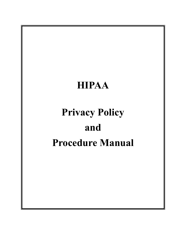## HIPAA

# Privacy Policy and Procedure Manual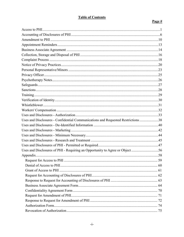## **Table of Contents**

## Page  $#$

| Uses and Disclosures - Confidential Communications and Requested Restrictions 38 |  |
|----------------------------------------------------------------------------------|--|
|                                                                                  |  |
|                                                                                  |  |
|                                                                                  |  |
|                                                                                  |  |
|                                                                                  |  |
| Uses and Disclosures of PHI - Requiring an Opportunity to Agree or Object 56     |  |
|                                                                                  |  |
|                                                                                  |  |
|                                                                                  |  |
|                                                                                  |  |
|                                                                                  |  |
|                                                                                  |  |
|                                                                                  |  |
|                                                                                  |  |
|                                                                                  |  |
|                                                                                  |  |
|                                                                                  |  |
|                                                                                  |  |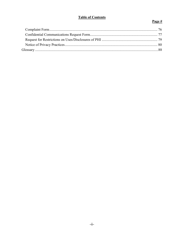## **Table of Contents**

## Page  $#$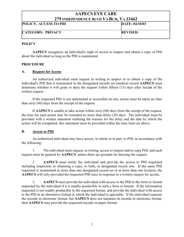| 417 INDEI ENDENCE DLYD Y A DCII, Y A 49 TO4 |                 |
|---------------------------------------------|-----------------|
| <b>POLICY: ACCESS TO PHI</b>                | DATE: 04/10/03  |
| <b>CATEGORY: PRIVACY</b>                    | <b>REVISED:</b> |

## **POLICY**

AAPECS recognizes an individual's right of access to inspect and obtain a copy of PHI about the individual as long as the PHI is maintained.

## PROCEDURE

#### A. Request for Access

 An authorized individual must request in writing to inspect or to obtain a copy of the individual's PHI that is maintained in the designated records set (medical record AAPECS must determine whether it will grant or deny the request within fifteen (15) days after receipt of the written request.

 If the requested PHI is not maintained or accessible on-site, action must be taken no later than sixty (60) days from the receipt of the request.

 If AAPECS is unable to take action within sixty (60) days from the receipt of the request, the time for such action may be extended no more than thirty (30) days. The individual must be provided with a written statement outlining the reasons for the delay and the date by which the action will be completed; this statement must be provided within the time limit set above.

## B. Access to PHI

 An authorized individual may have access, in whole or in part, to PHI, in accordance with the following:

 1. The individual must request, in writing, access to inspect and/or copy PHI, and such request must be granted by AAPECS, unless there are grounds for denying the request.

 2. AAPECS must notify the individual and provide the access to PHI requested including inspection or obtaining a copy, or both, in designated record sets. If the same PHI requested is maintained in more than one designated record set or at more than one location, the AAPECS will only provided the requested PHI once in response to a written request for access.

 3. AAPECS must provide the individual with access to the PHI in the form or format requested by the individual if it is readily producible in such a form or format. If the information requested is not readily producible in the requested format, and provide the individual with access to the PHI in an alternative format to which the individual is agreeable. If the individual requests the records in electronic format, but AAPECS does not maintain its records in electronic format, then AAPECS may provide the requested records in paper format.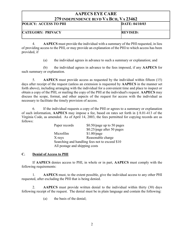| <i>LIJ</i> INDEI ENDENCE DLVD-VA DCII, VA 2070Z |                 |  |
|-------------------------------------------------|-----------------|--|
| <b>POLICY: ACCESS TO PHI</b>                    | DATE: 04/10/03  |  |
| <b>CATEGORY: PRIVACY</b>                        | <b>REVISED:</b> |  |

 4. AAPECS must provide the individual with a summary of the PHI requested, in lieu of providing access to the PHI, or may provide an explanation of the PHI to which access has been provided, if

(a) the individual agrees in advance to such a summary or explanation; and

 (b) the individual agrees in advance to the fees imposed, if any AAPECS for such summary or explanation.

 5. AAPECS must provide access as requested by the individual within fifteen (15) days after receipt of the request (unless an extension is requested by **AAPECS** in the manner set forth above), including arranging with the individual for a convenient time and place to inspect or obtain a copy of the PHI, or mailing the copy of the PHI at the individual's request. AAPECS may discuss the scope, format, and other aspects of the request for access with the individual as necessary to facilitate the timely provision of access.

 6. If the individual requests a copy of the PHI or agrees to a summary or explanation of such information, AAPECS may impose a fee, based on rates set forth in § 8.01-413 of the Virginia Code, as amended. As of April 14, 2003, the fees permitted for copying records are as follows:

| Paper records |                                                | $$0.50$ /page up to 50 pages |
|---------------|------------------------------------------------|------------------------------|
|               |                                                | \$0.25/page after 50 pages   |
| Microfilm     |                                                | $$1.00$ /page                |
| X-rays        |                                                | Reasonable charge            |
|               | Searching and handling fees not to exceed \$10 |                              |
|               | All postage and shipping costs                 |                              |

## C. Denial of Access to PHI

 If AAPECS denies access to PHI, in whole or in part, AAPECS must comply with the following requirements:

 1. AAPECS must, to the extent possible, give the individual access to any other PHI requested, after excluding the PHI that is being denied.

 2. AAPECS must provide written denial to the individual within thirty (30) days following receipt of the request. The denial must be in plain language and contain the following:

(a) the basis of the denial;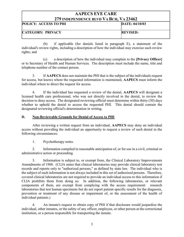| 217 пурет екрексе ретр у А DCII, у А 29 TV2 |                 |
|---------------------------------------------|-----------------|
| <b>POLICY: ACCESS TO PHI</b>                | DATE: 04/10/03  |
| <b>CATEGORY: PRIVACY</b>                    | <b>REVISED:</b> |

 (b) if applicable (for denials listed in paragraph E), a statement of the individual's review rights, including a description of how the individual may exercise such review rights; and

 (c) a description of how the individual may complain to the [Privacy Officer] or to Secretary of Health and Human Services. The description must include the name, title and telephone number of the contact person.

 3. If AAPECS does not maintain the PHI that is the subject of the individuals request for access, but knows where the requested information is maintained, AAPECS must inform the individual where to direct the request for access.

 4. If the individual has requested a review of the denial, AAPECS will designate a licensed health care professional, who was not directly involved in the denial, to review the decision to deny access. The designated reviewing official must determine within thirty (30) days whether to uphold the denial to access the requested PHI. This denial should contain the designated reviewing official's determination in writing.

## D. Non-Reviewable Grounds for Denial of Access to PHI

 After reviewing a written request from an individual, AAPECS may deny an individual access without providing the individual an opportunity to request a review of such denial in the following circumstances:

1. Psychotherapy notes.

 2. Information compiled in reasonable anticipation of, or for use in a civil, criminal or administrative action or proceeding.

 3. Information is subject to, or exempt from, the Clinical Laboratory Improvements Amendments of 1988. (CLIA states that clinical laboratories may provide clinical laboratory test records and reports only to "authorized persons," as defined by state law. The individual who is the subject of such information is not always included in this set of authorized persons. Therefore, covered clinical laboratories are not required to provide an individual access to this information if CLIA prohibits them from doing so. In addition, the following laboratories, or relevant components of them, are exempt from complying with the access requirement: research laboratories that test human specimens but do not report patient specific results for the diagnosis, prevention or treatment of any disease or impairment of, or the assessment of the health of individual patients.)

 4. An inmate's request to obtain copy of PHI if that disclosure would jeopardize the individual, other inmates, or the safety of any officer, employee, or other person at the correctional institution, or a person responsible for transporting the inmate.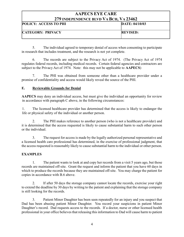| $\blacksquare$ . Then endered better through the ide |                 |
|------------------------------------------------------|-----------------|
| <b>POLICY: ACCESS TO PHI</b>                         | DATE: 04/10/03  |
| <b>CATEGORY: PRIVACY</b>                             | <b>REVISED:</b> |

 5. The individual agreed to temporary denial of access when consenting to participate in research that includes treatment, and the research is not yet complete.

 6. The records are subject to the Privacy Act of 1974. (The Privacy Act of 1974 regulates federal records, including medical records. Certain federal agencies and contractors are subject to the Privacy Act of 1974. Note: this may not be applicable to AAPECS)

 7. The PHI was obtained from someone other than a healthcare provider under a promise of confidentiality and access would likely reveal the source of the PHI.

## E. Reviewable Grounds for Denial

AAPECS may deny an individual access, but must give the individual an opportunity for review in accordance with paragraph C above, in the following circumstances:

 1. The licensed healthcare provider has determined that the access is likely to endanger the life or physical safety of the individual or another person.

 2. The PHI makes reference to another person (who is not a healthcare provider) and it is determined that the access requested is likely to cause substantial harm to such other person or the individual.

 3. The request for access is made by the legally authorized personal representative and a licensed health care professional has determined, in the exercise of professional judgment, that the access requested is reasonably likely to cause substantial harm to the individual or other person.

## **EXAMPLES**

 1. The patient wants to look at and copy her records from a visit 5 years ago, but those records are maintained off-site. Grant the request and inform the patient that you have 60 days in which to produce the records because they are maintained off-site. You may charge the patient for copies in accordance with B.6 above.

 2. If after 50 days the storage company cannot locate the records, exercise your right to extend the deadline by 30 days by writing to the patient and explaining that the storage company is still looking for the records.

 3. Patient Minor Daughter has been seen repeatedly for an injury and you suspect that Dad has been abusing patient Minor Daughter. You record your suspicions in patient Minor Daughter's record. Dad requests access to the records. If a doctor, nurse or other licensed health professional in your office believes that releasing this information to Dad will cause harm to patient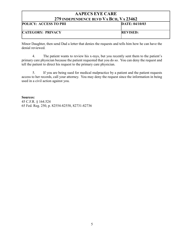| <i>ETT</i> hydelendence devd y a dch, y a 20402 |                 |
|-------------------------------------------------|-----------------|
| <b>POLICY: ACCESS TO PHI</b>                    | DATE: 04/10/03  |
| <b>CATEGORY: PRIVACY</b>                        | <b>REVISED:</b> |

Minor Daughter, then send Dad a letter that denies the requests and tells him how he can have the denial reviewed.

 4. The patient wants to review his x-rays, but you recently sent them to the patient's primary care physician because the patient requested that you do so. You can deny the request and tell the patient to direct his request to the primary care physician.

 5. If you are being sued for medical malpractice by a patient and the patient requests access to her records, call your attorney. You may deny the request since the information in being used in a civil action against you.

Sources:

45 C.F.R. § 164.524 65 Fed. Reg. 250, p. 82554-82558, 82731-82736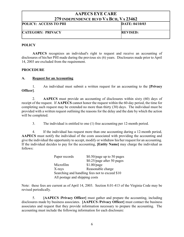| $\blacksquare$ , then ender the better through the top |                 |
|--------------------------------------------------------|-----------------|
| <b>POLICY: ACCESS TO PHI</b>                           | DATE: 04/10/03  |
| <b>CATEGORY: PRIVACY</b>                               | <b>REVISED:</b> |

## **POLICY**

AAPECS recognizes an individual's right to request and receive an accounting of disclosures of his/her PHI made during the previous six (6) years. Disclosures made prior to April 14, 2003 are excluded from the requirement.

## PROCEDURE

## A. Request for an Accounting

1. An individual must submit a written request for an accounting to the [Privacy] Officer].

 2. AAPECS must provide an accounting of disclosures within sixty (60) days of receipt of the request. If AAPECS cannot honor the request within the 60-day period, the time for completing such request may be extended no more than thirty (30) days. The individual must be provided with a written request outlining the reasons for the delay and the date by which the action will be completed.

3. The individual is entitled to one (1) free accounting per 12-month period.

 4. If the individual has request more than one accounting during a 12-month period, AAPECS must notify the individual of the costs associated with providing the accounting and give the individual the opportunity to accept, modify or withdraw his/her request for an accounting. If the individual decides to pay for the accounting, [Entity Name] may charge the individual as follows:

|                                | Paper records                                  | $$0.50$ /page up to 50 pages |
|--------------------------------|------------------------------------------------|------------------------------|
|                                |                                                | \$0.25/page after 50 pages   |
|                                | Microfilm                                      | $$1.00$ /page                |
|                                | X-rays                                         | Reasonable charge            |
|                                | Searching and handling fees not to exceed \$10 |                              |
| All postage and shipping costs |                                                |                              |

Note: these fees are current as of April 14, 2003. Section 8.01-413 of the Virginia Code may be revised periodically.

 5. [AAPECS /Privacy Officer] must gather and prepare the accounting, including disclosures made by business associates. [AAPECS /Privacy Officer] must contact the business associates and request that they provide information necessary to prepare the accounting. The accounting must include the following information for each disclosure: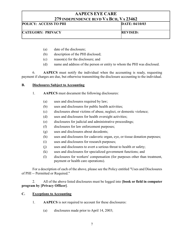| $\blacksquare$           |                 |
|--------------------------|-----------------|
| POLICY: ACCESS TO PHI    | DATE: 04/10/03  |
| <b>CATEGORY: PRIVACY</b> | <b>REVISED:</b> |

- (a) date of the disclosure;
- (b) description of the PHI disclosed;
- (c) reason(s) for the disclosure; and
- (d) name and address of the person or entity to whom the PHI was disclosed.

 6. AAPECS must notify the individual when the accounting is ready, requesting payment if charges are due, but otherwise transmitting the disclosure accounting to the individual.

## B. Disclosures Subject to Accounting

- 1. AAPECS must document the following disclosures:
	- (a) uses and disclosures required by law;
	- (b) uses and disclosures for public health activities;
	- (c) disclosures about victims of abuse, neglect, or domestic violence;
	- (d) uses and disclosures for health oversight activities;
	- (e) disclosures for judicial and administrative proceedings;
	- (f) disclosures for law enforcement purposes;
	- (g) uses and disclosures about decedents;
	- (h) uses and disclosures for cadaveric organ, eye, or tissue donation purposes;
	- (i) uses and disclosures for research purposes;
	- (j) uses and disclosures to avert a serious threat to health or safety;
	- (k) uses and disclosures for specialized government functions; and
	- (l) disclosures for workers' compensation (for purposes other than treatment, payment or health care operations).

 For a description of each of the above, please see the Policy entitled "Uses and Disclosures of PHI -- Permitted or Required."

2. All of the above listed disclosures must be logged into **[book or field in computer** program by [Privacy Officer].

## C. Exceptions to Accounting

- 1. AAPECS is not required to account for these disclosures:
	- (a) disclosures made prior to April 14, 2003;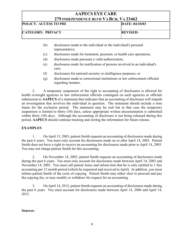| 217 ПОЕТЕПЛЕНСЕ БЕТЛЯ ТА DUII, ТА 20 TO2 |                 |
|------------------------------------------|-----------------|
| POLICY: ACCESS TO PHI                    | DATE: 04/10/03  |
| <b>CATEGORY: PRIVACY</b>                 | <b>REVISED:</b> |

- (b) disclosures made to the individual or the individual's personal representative;
- (c) disclosures made for treatment, payment, or health care operations;
- (d) disclosures made pursuant a valid authorization;
- (e) disclosures made for notification of persons involved in an individual's care;
- (f) disclosures for national security or intelligence purposes; or
- (g) disclosures made to correctional institutions or law enforcement officials regarding inmates.

 2. A temporary suspension of the right to accounting of disclosures is allowed for health oversight agencies or law enforcement officials contingent on such agencies or officials submission to AAPECS of a statement that indicates that an accounting of disclosure will impede an investigation that involves the individual in question. The statement should include a time frame for the exclusion period. The statement may be oral but in that case the temporary suspension is limited to thirty (30) days, unless appropriate written documentation is submitted within thirty (30) days. Although the accounting of disclosure is not being released during this period, AAPECS should continue tracking and storing the information for future release.

## EXAMPLES

 1. On April 15, 2003, patient Smith requests an accounting of disclosures made during the past 6 years. You must only account for disclosures made on or after April 14, 2003. Patient Smith does not have a right to receive an accounting for disclosures made prior to April 14, 2003. You may not charge patient Smith for this accounting.

 2. On November 14, 2003, patient Smith requests an accounting of disclosures made during the past 6 years. You must only account for disclosures made between April 14, 2003 and November 14, 2003. You must call patient Jones and inform him that he is only entitled to 1 free accounting per 12 month period (which he requested and received in April). In addition, you must inform patient Smith of the costs of copying. Patient Smith may either elect to proceed and pay the copying fee, or may modify or withdraw his request for an accounting.

 3. On April 14, 2012, patient Smith requests an accounting of disclosures made during the past 6 years. You must account for disclosures made between April 14, 2006 and April 14, 2012.

Sources: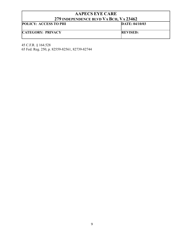| <i>LIJ</i> INDEFENDENCE BLVD VA DCH, VA ZJ <del>I</del> VZ |                 |
|------------------------------------------------------------|-----------------|
| <b>POLICY: ACCESS TO PHI</b>                               | DATE: 04/10/03  |
| <b>CATEGORY: PRIVACY</b>                                   | <b>REVISED:</b> |

45 C.F.R. § 164.528 65 Fed. Reg. 250, p. 82559-82561, 82739-82744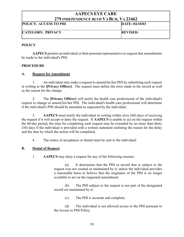| <i>LIJ</i> INDEI ENDENCE BLVD-VA DCII, VA 2070Z |                 |
|-------------------------------------------------|-----------------|
| <b>POLICY: ACCESS TO PHI</b>                    | DATE: 04/10/03  |
| <b>CATEGORY: PRIVACY</b>                        | <b>REVISED:</b> |

## **POLICY**

AAPECS permits an individual or their personal representative to request that amendments be made to the individual's PHI.

## PROCEDURE

## A. Request for Amendment

 1. An individual may make a request to amend his/her PHI by submitting such request in writing to the [Privacy Officer]. The request must define the error made in the record as well as the reason for the change.

 2. The [Privacy Officer] will notify the health care professional of the individual's request to change or amend his/her PHI. The individual's health care professional will determine if the individual's PHI should be amended as requested by the individual.

 3. AAPECS must notify the individual in writing within sixty (60) days of receiving the request if it will accept or deny the request. If AAPECS is unable to act on the request within the 60-day period, the time for completing such request may be extended by no more than thirty (30) days if the individual is provided with a written statement outlining the reason for the delay and the date by which the action will be completed.

4. The notice of acceptance or denial must be sent to the individual.

## B. Denial of Request

1. AAPECS may deny a request for any of the following reasons:

 (a) It determines that the PHI or record that is subject to the request was not created or maintained by it, unless the individual provides a reasonable basis to believe that the originator of the PHI is no longer available to act on the requested amendment;

 (b) The PHI subject to the request is not part of the designated record set maintained by it;

(c) The PHI is accurate and complete;

 (d) The individual is not allowed access to the PHI pursuant to the Access to PHI Policy.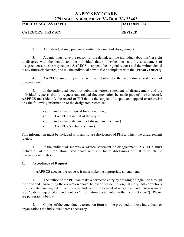| 217 ПОЕТЕМЛЕНСЕ ДЕТЛ ТА ДСП, ТА 20 ТО2 |                 |
|----------------------------------------|-----------------|
| <b>POLICY: ACCESS TO PHI</b>           | DATE: 04/10/03  |
| <b>CATEGORY: PRIVACY</b>               | <b>REVISED:</b> |

2. An individual may prepare a written statement of disagreement.

 3. A denial must give the reason for the denial, tell the individual about his/her right to disagree with the denial, tell the individual that (if he/she does not file a statement of disagreement), he/she may request AAPECS to append the original request and the written denial to any future disclosures, and tell the individual how to file a complaint with the [Privacy Officer].

 4. AAPECS may prepare a written rebuttal to the individual's statement of disagreement.

 5. If the individual does not submit a written statement of disagreement and the individual requests that its request and related documentation be made part of his/her record, AAPECS must identify the record of PHI that is the subject of dispute and append or otherwise link the following information to the designated record set:

- (a) individual's request for amendment;
- (b) AAPECS 's denial of the request
- (c) individual's statement of disagreement (if any)
- (d) AAPECS 's rebuttal (if any).

This information must be included with any future disclosures of PHI to which the disagreement relates.

 4. If the individual submits a written statement of disagreement, AAPECS must include all of the information listed above with any future disclosures of PHI to which the disagreement relates.

## C. Acceptance of Request

If AAPECS accepts the request, it must make the appropriate amendment.

 1. The author of the PHI can make a corrected entry by drawing a single line through the error and handwriting the correction above, below or beside the original entry. All corrections must be dated and signed. In addition, include a brief statement of why the amendment was made (i.e., "patient requested amendment" or "information documented in the incorrect chart"). Please see paragraph 5 below.

 2. Copies of the amendment/correction form will be provided to those individuals or organizations the individual deems necessary.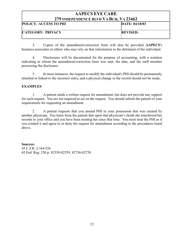| 217 поет екрексе бетр у Арси, у А <i>р</i> очо2 |                 |
|-------------------------------------------------|-----------------|
| <b>POLICY: ACCESS TO PHI</b>                    | DATE: 04/10/03  |
| <b>CATEGORY: PRIVACY</b>                        | <b>REVISED:</b> |

 3. Copies of the amendment/correction form will also be provided AAPECS's business associates or others who may rely on that information to the detriment of the individual.

 4. Disclosures will be documented for the purpose of accounting, with a notation indicating to whom the amendment/correction form was sent, the date, and the staff member processing the disclosure.

 5. In most instances, the request to modify the individual's PHI should be permanently attached or linked to the incorrect entry, and a physical change to the record should not be made.

## **EXAMPLES**

 1. A patient sends a written request for amendment, but does not provide any support for such request. You are not required to act on the request. You should inform the patient of your requirements for requesting an amendment.

 2. A patient requests that you amend PHI in your possession that was created by another physician. You learn from the patient that upon that physician's death she transferred her records to your office and you have been treating her since that time. You must treat the PHI as if you created it and agree to or deny the request for amendment according to the procedures listed above.

Sources: 45 C.F.R. § 164.526 65 Fed. Reg. 250 p. 82558-82559, 82736-82738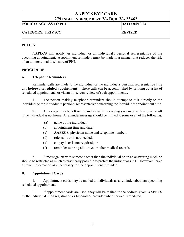| <b>POLICY: ACCESS TO PHI</b><br>DATE: 04/10/03 |  |
|------------------------------------------------|--|
|                                                |  |
| <b>CATEGORY: PRIVACY</b><br><b>REVISED:</b>    |  |

## **POLICY**

AAPECS will notify an individual or an individual's personal representative of the upcoming appointment. Appointment reminders must be made in a manner that reduces the risk of an unintentional disclosure of PHI.

#### PROCEDURE

#### A. Telephone Reminders

 Reminder calls are made to the individual or the individual's personal representative [the day before a scheduled appointment. These calls can be accomplished by printing out a list of scheduled appointments or via an on-screen review of such appointments.

 1. The person making telephone reminders should attempt to talk directly to the individual or the individual's personal representative concerning the individual's appointment time.

 2. A message may be left on the individual's messaging system or with another adult if the individual is not home. A reminder message should be limited to some or all of the following:

- (a) name of the individual;
- (b) appointment time and date;
- (c) AAPECS, physician name and telephone number;
- (d) referral is or is not needed;
- (e) co-pay is or is not required; or
- (f) reminder to bring all x-rays or other medical records.

 3. A message left with someone other than the individual or on an answering machine should be restricted as much as practically possible to protect the individual's PHI. However, leave as much information as is necessary for the appointment reminder.

#### B. Appointment Cards

 1. Appointment cards may be mailed to individuals as a reminder about an upcoming scheduled appointment.

2. If appointment cards are used, they will be mailed to the address given AAPECS by the individual upon registration or by another provider when service is rendered.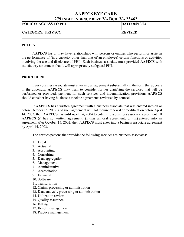| <b>POLICY: ACCESS TO PHI</b> | DATE: 04/10/03  |
|------------------------------|-----------------|
| <b>CATEGORY: PRIVACY</b>     | <b>REVISED:</b> |

#### **POLICY**

AAPECS has or may have relationships with persons or entities who perform or assist in the performance of (in a capacity other than that of an employee) certain functions or activities involving the use and disclosure of PHI. Each business associate must provided AAPECS with satisfactory assurances that it will appropriately safeguard PHI.

#### PROCEDURE

Every business associate must enter into an agreement substantially in the form that appears in the appendix. AAPECS may want to consider further clarifying the services that will be performed or provided, payment for such services and indemnification provisions AAPECS should consider having business associate agreements reviewed by counsel.

If AAPECS has a written agreement with a business associate that was entered into on or before October 15, 2002, and such agreement will not require renewal or modification before April 14, 2003, then AAPECS has until April 14, 2004 to enter into a business associate agreement. If AAPECS (i) has no written agreement, (ii) has an oral agreement, or (iii) entered into an agreement after October 15, 2002, then AAPECS must enter into a business associate agreement by April 14, 2003.

The entities/persons that provide the following services are business associates:

- 1. Legal
- 2. Actuarial
- 3. Accounting
- 4. Consulting
- 5. Data aggregation
- 6. Management
- 7. Administrative
- 8. Accreditation
- 9. Financial
- 10. Software
- 11. Transcription
- 12. Claims processing or administration
- 13. Data analysis, processing or administration
- 14. Utilization review
- 15. Quality assurance
- 16. Billing
- 17. Benefit management
- 18. Practice management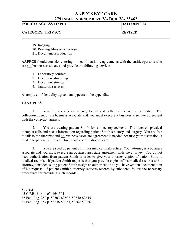## POLICY: ACCESS TO PHI DATE: 04/10/03 CATEGORY: PRIVACY REVISED:

19. Imaging

20. Reading films or other tests

21. Document reproduction

AAPECS should consider entering into confidentiality agreements with the entities/persons who are not business associates and provide the following services:

- 1. Laboratory couriers
- 2. Document shredding
- 3. Document storage
- 4. Janitorial services

A sample confidentiality agreement appears in the appendix.

## **EXAMPLES**

 1. You hire a collection agency to bill and collect all accounts receivable. The collection agency is a business associate and you must execute a business associate agreement with the collection agency.

 2. You are treating patient Smith for a knee replacement. The licensed physical therapist calls and needs information regarding patient Smith's history and surgery. You are free to talk to the therapist and no business associate agreement is needed because your discussion is related to patient Smith's treatment and coordination of care.

 3. You are sued by patient Smith for medical malpractice. Your attorney is a business associate and you must execute an business associate agreement with the attorney. You do not need authorization from patient Smith in order to give your attorney copies of patient Smith's medical records. If patient Smith requests that you provide copies of his medical records to his attorney, consider asking patient Smith to sign an authorization so you have written documentation of his request. If patient Smith's attorney requests records by subpoena, follow the necessary procedures for providing such records.

Sources: 45 C.F.R. § 164.103, 164.504 65 Fed. Reg. 250 p. 82503-82507, 82640-82645 67 Fed. Reg. 157 p. 53248-53254, 53262-53266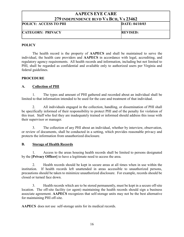## AAPECS EYE CARE 279 INDEPENDENCE BLVD VA BCH, VA 23462 POLICY: ACCESS TO PHI DATE: 04/10/03 CATEGORY: PRIVACY REVISED:

## **POLICY**

 The health record is the property of AAPECS and shall be maintained to serve the individual, the health care providers and AAPECS in accordance with legal, accrediting, and regulatory agency requirements. All health records and information, including but not limited to PHI, shall be regarded as confidential and available only to authorized users per Virginia and federal guidelines.

#### **PROCEDURE**

## A. Collection of PHI

 1. The types and amount of PHI gathered and recorded about an individual shall be limited to that information intended to be used for the care and treatment of that individual.

 2. All individuals engaged in the collection, handling, or dissemination of PHI shall be specifically informed of their responsibility to protect PHI and of the penalty for violation of this trust. Staff who feel they are inadequately trained or informed should address this issue with their supervisor or manager.

 3. The collection of any PHI about an individual, whether by interview, observation, or review of documents, shall be conducted in a setting, which provides reasonable privacy and protects the information from unauthorized disclosure.

## B. Storage of Health Records

 1. Access to the areas housing health records shall be limited to persons designated by the [Privacy Officer] to have a legitimate need to access the area.

 2. Health records should be kept in secure areas at all times when in use within the institution. If health records left unattended in areas accessible to unauthorized persons, precautions should be taken to minimize unauthorized disclosure. For example, records should be closed or turned face down.

 3. Health records which are to be stored permanently, must be kept in a secure off-site location. The off-site facility (or agent) maintaining the health records should sign a business associate agreement. AAPECS recognizes that self-storage units may not be the best alternative for maintaining PHI off-site.

AAPECS does not use self-storage units for its medical records.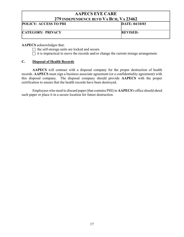| $\blacksquare$               |                 |
|------------------------------|-----------------|
| <b>POLICY: ACCESS TO PHI</b> | DATE: 04/10/03  |
| <b>CATEGORY: PRIVACY</b>     | <b>REVISED:</b> |
|                              |                 |

AAPECS acknowledges that:

 $\Box$  the self-storage units are locked and secure.

 $\Box$  it is impractical to move the records and/or change the current storage arrangement.

## C. Disposal of Health Records

AAPECS will contract with a disposal company for the proper destruction of health records. AAPECS must sign a business associate agreement (or a confidentiality agreement) with this disposal company. The disposal company should provide AAPECS with the proper certification to ensure that the health records have been destroyed.

 Employees who need to discard paper (that contains PHI) in AAPECS's office should shred such paper or place it in a secure location for future destruction.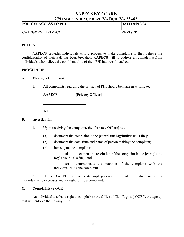| 217 препервосе ретр та рената 2019 год |                 |
|----------------------------------------|-----------------|
| <b>POLICY: ACCESS TO PHI</b>           | DATE: 04/10/03  |
| <b>CATEGORY: PRIVACY</b>               | <b>REVISED:</b> |

## **POLICY**

AAPECS provides individuals with a process to make complaints if they believe the confidentiality of their PHI has been breached. AAPECS will to address all complaints from individuals who believe the confidentiality of their PHI has been breached.

#### PROCEDURE

## A. Making a Complaint

1. All complaints regarding the privacy of PHI should be made in writing to:

| <b>AAPECS</b> | [Privacy Officer] |
|---------------|-------------------|
|               |                   |
| Tel:          |                   |

#### B. Investigation

- 1. Upon receiving the complaint, the [Privacy Officer] is to:
	- (a) document the complaint in the [complaint log/individual's file];
	- (b) document the date, time and name of person making the complaint;
	- (c) investigate the compliant;

 (d) document the resolution of the complaint in the [complaint log/individual's file]; and

 (e) communicate the outcome of the complaint with the individual filing the complaint.

2. Neither **AAPECS** nor any of its employees will intimidate or retaliate against an individual who exercises his/her right to file a complaint.

## C. Complaints to OCR

 An individual also has a right to complain to the Office of Civil Rights ("OCR"), the agency that will enforce the Privacy Rule.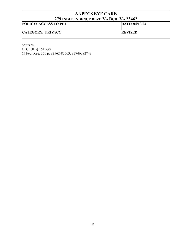| 217 пуреі екрексе реур у А рон, у А 29 то2 |                 |
|--------------------------------------------|-----------------|
| <b>POLICY: ACCESS TO PHI</b>               | DATE: 04/10/03  |
| <b>CATEGORY: PRIVACY</b>                   | <b>REVISED:</b> |

## Sources:

45 C.F.R. § 164.530 65 Fed. Reg. 250 p. 82562-82563, 82746, 82748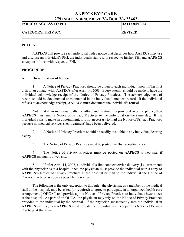|                              | $\blacksquare$ . Then endered better the periodic state in $\blacksquare$ |  |
|------------------------------|---------------------------------------------------------------------------|--|
| <b>POLICY: ACCESS TO PHI</b> | DATE: 04/10/03                                                            |  |
| <b>CATEGORY: PRIVACY</b>     | <b>REVISED:</b>                                                           |  |
|                              |                                                                           |  |

## **POLICY**

AAPECS will provide each individual with a notice that describes how AAPECS may use and disclose an individual's PHI, the individual's rights with respect to his/her PHI and AAPECS 's responsibilities with respect to PHI.

## PROCEDURE

## A. Dissemination of Notice

1. A Notice of Privacy Practices should be given to each individual upon his/her first visit to, or contact with, AAPECS after April 14, 2003. Every attempt should be made to have the individual acknowledge receipt of the Notice of Privacy Practices. The acknowledgement of receipt should be documented or maintained in the individual's medical record. If the individual refuses to acknowledge receipt, AAPECS must document the individual's refusal.

Note that if an individual calls the office and treatment is provided over the phone, then AAPECS must mail a Notice of Privacy Practices to the individual on the same day. If the individual calls to make an appointment, it is not necessary to mail the Notice of Privacy Practices because no medical services (i.e., treatment) have been delivered.

2. A Notice of Privacy Practices should be readily available to any individual desiring a copy.

3. The Notice of Privacy Practices must be posted [in the reception area].

4. The Notice of Privacy Practices must be posted on AAPECS 's web site, if AAPECS maintains a web site.

5. If after April 14, 2003, a individual's first contact/service delivery (i.e., treatment) with the physician is at a hospital, then the physician must provide the individual with a copy of AAPECS's Notice of Privacy Practices at the hospital or mail to the individual the Notice of Privacy Practices as soon as possible thereafter.

The following is the only exception to this rule: the physician, as a member of the medical staff at the hospital, may be asked (or required) to agree to participate in an organized health care arrangement ("OHCA") and provide a joint Notice of Privacy Practices to individuals he/she sees at the hospital. As part of an OHCA, the physician may rely on the Notice of Privacy Practices provided to the individual by the hospital. If the physician subsequently sees the individual in AAPECS's office, then AAPECS must provide the individual with a copy if its Notice of Privacy Practices at that time.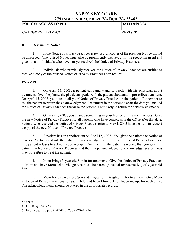| <b>POLICY: ACCESS TO PHI</b> | DATE: 04/10/03  |
|------------------------------|-----------------|
| <b>CATEGORY: PRIVACY</b>     | <b>REVISED:</b> |

## B. Revision of Notice

1. If the Notice of Privacy Practices is revised, all copies of the previous Notice should be discarded. The revised Notice must also be prominently displayed [in the reception area] and given to all individuals who have not yet received the Notice of Privacy Practices.

2. Individuals who previously received the Notice of Privacy Practices are entitled to receive a copy of the revised Notice of Privacy Practices upon request.

## EXAMPLE

 1. On April 15, 2003, a patient calls and wants to speak with his physician about treatment. Over the phone, the physician speaks with the patient about and/or prescribes treatment. On April 15, 2003, you must mail your Notice of Privacy Practices to the patient. Remember to ask the patient to return the acknowledgment. Document in the patient's chart the date you mailed the Notice of Privacy Practices (because the patient is not likely to return the acknowledgment).

 2. On May 1, 2003, you change something in your Notice of Privacy Practices. Give the new Notice of Privacy Practices to all patients who have contact with the office after that date. Patients who received the Notice of Privacy Practices prior to May 1, 2003 have the right to request a copy of the new Notice of Privacy Practices.

 3. A patient has an appointment on April 15, 2003. You give the patient the Notice of Privacy Practices and ask the patient to acknowledge receipt of the Notice of Privacy Practices. The patient refuses to acknowledge receipt. Document, in the patient's record, that you gave the patient the Notice of Privacy Practices and that the patient refused to acknowledge receipt. You may not refuse to treat the patient.

 4. Mom brings 3-year old Son in for treatment. Give the Notice of Privacy Practices to Mom and have Mom acknowledge receipt as the parent (personal representative) of 3-year old Son.

 5. Mom brings 3-year old Son and 15-year old Daughter in for treatment. Give Mom a Notice of Privacy Practices for each child and have Mom acknowledge receipt for each child. The acknowledgments should be placed in the appropriate records.

Sources: 45 C.F.R. § 164.520 65 Fed. Reg. 250 p. 82547-82552, 82720-82726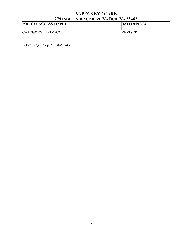| <b>AAPECS EYE CARE</b>                 |                 |
|----------------------------------------|-----------------|
| 279 INDEPENDENCE BLVD VA BCH, VA 23462 |                 |
| POLICY: ACCESS TO PHI                  | DATE: 04/10/03  |
| <b>CATEGORY: PRIVACY</b>               | <b>REVISED:</b> |

67 Fed. Reg. 157 p. 53238-53243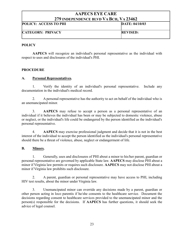| <b>POLICY: ACCESS TO PHI</b> | DATE: 04/10/03  |
|------------------------------|-----------------|
| <b>CATEGORY: PRIVACY</b>     | <b>REVISED:</b> |

## **POLICY**

AAPECS will recognize an individual's personal representative as the individual with respect to uses and disclosures of the individual's PHI.

## PROCEDURE

## A. Personal Representatives.

 1. Verify the identity of an individual's personal representative. Include any documentation in the individual's medical record.

 2. A personal representative has the authority to act on behalf of the individual who is an unemancipated minor.

 3. AAPECS may refuse to accept a person as a personal representative of an individual if it believes the individual has been or may be subjected to domestic violence, abuse or neglect, or the individual's life could be endangered by the person identified as the individual's personal representative.

 4. AAPECS may exercise professional judgment and decide that it is not in the best interest of the individual to accept the person identified as the individual's personal representative should there be a threat of violence, abuse, neglect or endangerment of life.

## B. Minors.

 1. Generally, uses and disclosures of PHI about a minor to his/her parent, guardian or personal representative are governed by applicable State law. AAPECS may disclose PHI about a minor if Virginia law permits or requires such disclosure. AAPECS may not disclose PHI about a minor if Virginia law prohibits such disclosure.

 2. A parent, guardian or personal representative may have access to PHI, including HIV test results, about the minor under Virginia law.

 3. Unemancipated minor can override any decisions made by a parent, guardian or other person acting in loco parentis if he/she consents to the healthcare service. Document the decisions regarding consent to healthcare services provided to the unemancipated minor and the person(s) responsible for the decisions. If AAPECS has further questions, it should seek the advice of legal counsel.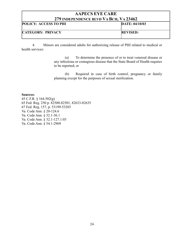| <i>LIJ</i> INDEI ENDENÇE DEVD VA DÇII, VA ZJTVZ |                 |
|-------------------------------------------------|-----------------|
| <b>POLICY: ACCESS TO PHI</b>                    | DATE: 04/10/03  |
| <b>CATEGORY: PRIVACY</b>                        | <b>REVISED:</b> |

 4. Minors are considered adults for authorizing release of PHI related to medical or health services:

> (a) To determine the presence of or to treat venereal disease or any infectious or contagious disease that the State Board of Health requires to be reported; or

> (b) Required in case of birth control, pregnancy or family planning except for the purposes of sexual sterilization.

#### Sources:

45 C.F.R. § 164.502(g) 65 Fed. Reg. 250 p. 82500-82501, 82633-82635 67 Fed. Reg. 157, p. 53199-53203 Va. Code Ann. § 20-124.6 Va. Code Ann. § 32.1-36.1 Va. Code Ann. § 32.1-127.1:03 Va. Code Ann. § 54.1-2969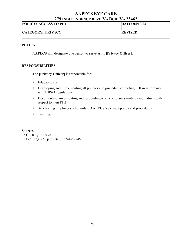| <i>LIJ</i> INDEI ENDENCE BLVD-VA DCII, VA 2070Z |                 |
|-------------------------------------------------|-----------------|
| <b>POLICY: ACCESS TO PHI</b>                    | DATE: 04/10/03  |
| <b>CATEGORY: PRIVACY</b>                        | <b>REVISED:</b> |

## **POLICY**

AAPECS will designate one person to serve as its [Privacy Officer].

## RESPONSIBILITIES

The [Privacy Officer] is responsible for:

- Educating staff
- Developing and implementing all policies and procedures effecting PHI in accordance with HIPAA regulations
- Documenting, investigating and responding to all complaints made by individuals with respect to their PHI
- Sanctioning employees who violate AAPECS 's privacy policy and procedures
- **+** Training.

Sources: 45 C.F.R. § 164.530 65 Fed. Reg. 250 p. 82561, 82744-82745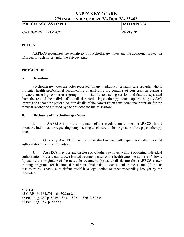## AAPECS EYE CARE 279 INDEPENDENCE BLVD VA BCH, VA 23462 POLICY: ACCESS TO PHI DATE: 04/10/03 CATEGORY: PRIVACY REVISED:

## **POLICY**

AAPECS recognizes the sensitivity of psychotherapy notes and the additional protection afforded to such notes under the Privacy Rule.

## PROCEDURE

## A. Definition.

 Psychotherapy notes are notes recorded (in any medium) by a health care provider who is a mental health professional documenting or analyzing the contents of conversation during a private counseling session or a group, joint or family counseling session and that are separated from the rest of the individual's medical record. Psychotherapy notes capture the provider's impressions about the patient, contain details of the conversation considered inappropriate for the medical record and are used by the provider for future sessions.

## B. Disclosure of Psychotherapy Notes.

 1. If AAPECS is not the originator of the psychotherapy notes, AAPECS should direct the individual or requesting party seeking disclosure to the originator of the psychotherapy notes.

 2. Generally, AAPECS may not use or disclose psychotherapy notes without a valid authorization from the individual.

 3. AAPECS may use and disclose psychotherapy notes, without obtaining individual authorization, to carry out its own limited treatment, payment or health care operations as follows: (a) use by the originator of the notes for treatment, (b) use or disclosure for AAPECS 's own training programs for its mental health professionals, students, and trainees, and (c) use or disclosure by AAPECS to defend itself in a legal action or other proceeding brought by the individual.

#### Sources: 45 C.F.R. §§ 164.501, 164.508(a)(2) 65 Fed. Reg. 250 p. 82497, 82514-82515, 82652-82654 67 Fed. Reg. 157, p. 53220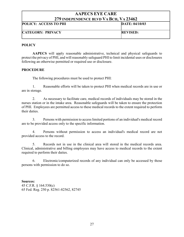| <b>POLICY: ACCESS TO PHI</b> | DATE: 04/10/03  |
|------------------------------|-----------------|
| <b>CATEGORY: PRIVACY</b>     | <b>REVISED:</b> |

## **POLICY**

AAPECS will apply reasonable administrative, technical and physical safeguards to protect the privacy of PHI, and will reasonably safeguard PHI to limit incidental uses or disclosures following an otherwise permitted or required use or disclosure.

## PROCEDURE

The following procedures must be used to protect PHI:

1. Reasonable efforts will be taken to protect PHI when medical records are in use or are in storage.

2. As necessary to facilitate care, medical records of individuals may be stored in the nurses station or in the intake area. Reasonable safeguards will be taken to ensure the protection of PHI. Employees are permitted access to these medical records to the extent required to perform their duties.

3. Persons with permission to access limited portions of an individual's medical record are to be provided access only to the specific information.

4. Persons without permission to access an individual's medical record are not provided access to the record.

5. Records not in use in the clinical area will stored in the medical records area. Clinical, administrative and billing employees may have access to medical records to the extent required to perform their duties.

6. Electronic/computerized records of any individual can only be accessed by those persons with permission to do so.

Sources: 45 C.F.R. § 164.530(c) 65 Fed. Reg. 250 p. 82561-82562, 82745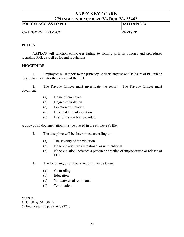| <i>ETT</i> hydelendence devd y a dch, y a 20402 |                 |
|-------------------------------------------------|-----------------|
| <b>POLICY: ACCESS TO PHI</b>                    | DATE: 04/10/03  |
| <b>CATEGORY: PRIVACY</b>                        | <b>REVISED:</b> |

#### **POLICY**

AAPECS will sanction employees failing to comply with its policies and procedures regarding PHI, as well as federal regulations.

#### PROCEDURE

 1. Employees must report to the [Privacy Officer] any use or disclosure of PHI which they believe violates the privacy of the PHI.

 2. The Privacy Officer must investigate the report. The Privacy Officer must document:

- (a) Name of employee
- (b) Degree of violation
- (c) Location of violation
- (d) Date and time of violation
- (e) Disciplinary action provided.

A copy of all documentation must be placed in the employee's file.

- 3. The discipline will be determined according to:
	- (a) The severity of the violation
	- (b) If the violation was intentional or unintentional
	- (c) If the violation indicates a pattern or practice of improper use or release of PHI.
- 4. The following disciplinary actions may be taken:
	- (a) Counseling
	- (b) Education
	- (c) Written/verbal reprimand
	- (d) Termination.

Sources:

45 C.F.R. §164.530(e) 65 Fed. Reg. 250 p. 82562, 82747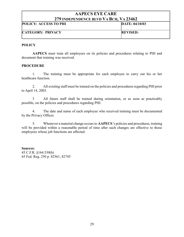| <i>ETT</i> hydelendence devd y a dch, y a 20402 |                 |
|-------------------------------------------------|-----------------|
| <b>POLICY: ACCESS TO PHI</b>                    | DATE: 04/10/03  |
| <b>CATEGORY: PRIVACY</b>                        | <b>REVISED:</b> |

#### **POLICY**

AAPECS must train all employees on its policies and procedures relating to PHI and document that training was received.

#### **PROCEDURE**

 1. The training must be appropriate for each employee to carry out his or her healthcare function.

 2. All existing staff must be trained on the policies and procedures regarding PHI prior to April 14, 2003.

 3 All future staff shall be trained during orientation, or as soon as practicably possible, on the policies and procedures regarding PHI.

 4. The date and name of each employee who received training must be documented by the Privacy Officer.

 5. Whenever a material change occurs to AAPECS 's policies and procedures, training will be provided within a reasonable period of time after such changes are effective to those employees whose job functions are affected.

Sources: 45 C.F.R. §164.530(b) 65 Fed. Reg. 250 p. 82561, 82745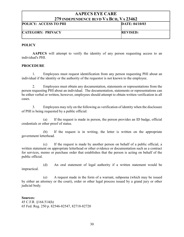| <i>LIJ</i> INDEFENDENCE BLVD VA DCH, VA 23402 |                 |
|-----------------------------------------------|-----------------|
| <b>POLICY: ACCESS TO PHI</b>                  | DATE: 04/10/03  |
| <b>CATEGORY: PRIVACY</b>                      | <b>REVISED:</b> |

#### **POLICY**

AAPECS will attempt to verify the identity of any person requesting access to an individual's PHI.

#### **PROCEDURE**

1. Employees must request identification from any person requesting PHI about an individual if the identity or the authority of the requestor is not known to the employee.

2. Employees must obtain any documentation, statements or representations from the person requesting PHI about an individual. The documentation, statements or representations can be either verbal or written, however, employees should attempt to obtain written verification in all cases.

3. Employees may rely on the following as verification of identity when the disclosure of PHI is being requested by a public official:

(a) If the request is made in person, the person provides an ID badge, official credentials or other proof of status.

(b) If the request is in writing, the letter is written on the appropriate government letterhead.

(c) If the request is made by another person on behalf of a public official, a written statement on appropriate letterhead or other evidence or documentation such as a contract for services, memo or purchase order that establishes that the person is acting on behalf of the public official.

(d) An oral statement of legal authority if a written statement would be impractical.

(e) A request made in the form of a warrant, subpoena (which may be issued by either an attorney or the court), order or other legal process issued by a grand jury or other judicial body.

Sources: 45 C.F.R. §164.514(h) 65 Fed. Reg. 250 p. 82546-82547, 82718-82720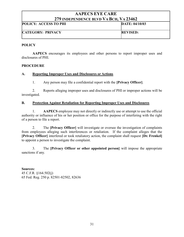| <i>417</i> INDEFENDENCE BLVD-VA DCH, VA 43404 |                 |
|-----------------------------------------------|-----------------|
| <b>POLICY: ACCESS TO PHI</b>                  | DATE: 04/10/03  |
| <b>CATEGORY: PRIVACY</b>                      | <b>REVISED:</b> |

## **POLICY**

AAPECS encourages its employees and other persons to report improper uses and disclosures of PHI.

## PROCEDURE

## A. Reporting Improper Uses and Disclosures or Actions

1. Any person may file a confidential report with the [Privacy Officer].

2. Reports alleging improper uses and disclosures of PHI or improper actions will be investigated.

## B. Protection Against Retaliation for Reporting Improper Uses and Disclosures

1. AAPECS employee may not directly or indirectly use or attempt to use the official authority or influence of his or her position or office for the purpose of interfering with the right of a person to file a report.

2. The [Privacy Officer] will investigate or oversee the investigation of complaints from employees alleging such interferences or retaliation. If the complaint alleges that the [Privacy Officer] interfered or took retaliatory action, the complaint shall request [Dr. Frenkel] to appoint a person to investigate the complaint.

 3. The [Privacy Officer or other appointed person] will impose the appropriate sanctions if any.

Sources: 45 C.F.R. §164.502(j) 65 Fed. Reg. 250 p. 82501-82502, 82636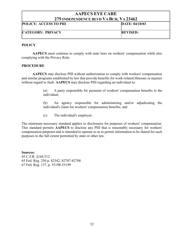| 417 INDEI ENDENCE DLYD Y A DCII, Y A 49 TO4 |                 |
|---------------------------------------------|-----------------|
| <b>POLICY: ACCESS TO PHI</b>                | DATE: 04/10/03  |
| <b>CATEGORY: PRIVACY</b>                    | <b>REVISED:</b> |

#### **POLICY**

AAPECS must continue to comply with state laws on workers' compensation while also complying with the Privacy Rule.

#### **PROCEDURE**

AAPECS may disclose PHI without authorization to comply with workers' compensation and similar programs established by law that provide benefits for work-related illnesses or injuries without regard to fault. AAPECS may disclose PHI regarding an individual to:

> (a) A party responsible for payment of workers' compensation benefits to the individual;

> (b) An agency responsible for administering and/or adjudicating the individual's claim for workers' compensation benefits; and

(c) The individual's employer.

The minimum necessary standard applies to disclosures for purposes of workers' compensation. This standard permits AAPECS to disclose any PHI that is reasonably necessary for workers' compensation purposes and is intended to operate so as to permit information to be shared for such purposes to the full extent permitted by state or other law.

Sources: 45 C.F.R. §164.512 65 Fed. Reg. 250 p. 82542, 82707-82708 67 Fed. Reg. 157, p. 53198-53199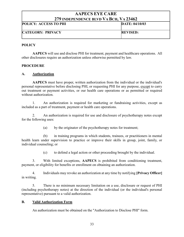| 217 пурет екрексе ретр у А рон, у А 29-102 |                 |
|--------------------------------------------|-----------------|
| <b>POLICY: ACCESS TO PHI</b>               | DATE: 04/10/03  |
| <b>CATEGORY: PRIVACY</b>                   | <b>REVISED:</b> |

## **POLICY**

AAPECS will use and disclose PHI for treatment, payment and healthcare operations. All other disclosures require an authorization unless otherwise permitted by law.

## **PROCEDURE**

## A. Authorization

AAPECS must have proper, written authorization from the individual or the individual's personal representative before disclosing PHI, or requesting PHI for any purpose, except to carry out treatment or payment activities, or our health care operations or as permitted or required without authorization.

 1. An authorization is required for marketing or fundraising activities, except as included as a part of treatment, payment or health care operations.

 2. An authorization is required for use and disclosure of psychotherapy notes except for the following uses:

(a) by the originator of the psychotherapy notes for treatment;

 (b) in training programs in which students, trainees, or practitioners in mental health learn under supervision to practice or improve their skills in group, joint, family, or individual counseling; or

(c) to defend a legal action or other proceeding brought by the individual.

 3. With limited exceptions, AAPECS is prohibited from conditioning treatment, payment, or eligibility for benefits or enrollment on obtaining an authorization.

 4. Individuals may revoke an authorization at any time by notifying [Privacy Officer] in writing.

 5. There is no minimum necessary limitation on a use, disclosure or request of PHI (including psychotherapy notes) at the direction of the individual (or the individual's personal representative) pursuant to a valid authorization.

## B. Valid Authorization Form

An authorization must be obtained on the "Authorization to Disclose PHI" form.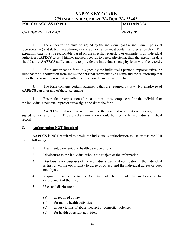| <b>POLICY: ACCESS TO PHI</b> | DATE: 04/10/03  |
|------------------------------|-----------------|
| <b>CATEGORY: PRIVACY</b>     | <b>REVISED:</b> |

 1. The authorization must be signed by the individual (or the individual's personal representative) and dated. In addition, a valid authorization must contain an expiration date. The expiration date must be reasonable based on the specific request. For example, if an individual authorizes AAPECS to send his/her medical records to a new physician, then the expiration date should allow AAPECS sufficient time to provide the individual's new physician with the records.

 2. If the authorization form is signed by the individual's personal representative, be sure that the authorization form shows the personal representative's name and the relationship that gives the personal representative authority to act on the individual's behalf.

 3. The form contains certain statements that are required by law. No employee of AAPECS can alter any of these statements.

 4. Ensure that every section of the authorization is complete before the individual or the individual's personal representative signs and dates the form.

 5. AAPECS must give the individual (or the personal representative) a copy of the signed authorization form. The signed authorization should be filed in the individual's medical record.

#### C. Authorization NOT Required

AAPECS is NOT required to obtain the individual's authorization to use or disclose PHI for the following:

- 1. Treatment, payment, and health care operations;
- 2. Disclosures to the individual who is the subject of the information;
- 3. Disclosures for purposes of the individual's care and notification if the individual is first given the opportunity to agree or object, and the individual agrees or does not object;
- 4. Required disclosures to the Secretary of Health and Human Services for enforcement of the rule;
- 5. Uses and disclosures:
	- (a) as required by law;
	- (b) for public health activities;
	- (c) about victims of abuse, neglect or domestic violence;
	- (d) for health oversight activities;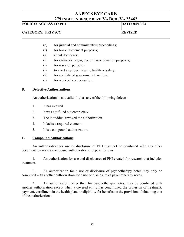| <i>LI'S</i> INDEPENDENCE BLVD VA DCH, VA 2340Z |                 |
|------------------------------------------------|-----------------|
| <b>POLICY: ACCESS TO PHI</b>                   | DATE: 04/10/03  |
|                                                |                 |
| <b>CATEGORY: PRIVACY</b>                       | <b>REVISED:</b> |
|                                                |                 |

- (e) for judicial and administrative proceedings;
- (f) for law enforcement purposes;
- (g) about decedents;
- (h) for cadaveric organ, eye or tissue donation purposes;
- (i) for research purposes
- (j) to avert a serious threat to health or safety;
- $(k)$  for specialized government functions;
- (l) for workers' compensation.

#### D. Defective Authorizations

An authorization is not valid if it has any of the following defects:

- 1. It has expired.
- 2. It was not filled out completely.
- 3. The individual revoked the authorization.
- 4. It lacks a required element.
- 5. It is a compound authorization.

#### E. Compound Authorizations

An authorization for use or disclosure of PHI may not be combined with any other document to create a compound authorization except as follows:

1. An authorization for use and disclosures of PHI created for research that includes treatment.

2. An authorization for a use or disclosure of psychotherapy notes may only be combined with another authorization for a use or disclosure of psychotherapy notes.

3. An authorization, other than for psychotherapy notes, may be combined with another authorization except when a covered entity has conditioned the provision of treatment, payment, enrollment in the health plan, or eligibility for benefits on the provision of obtaining one of the authorizations.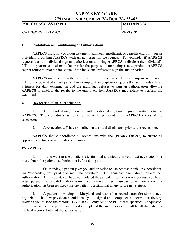# AAPECS EYE CARE 279 INDEPENDENCE BLVD VA BCH, VA 23462 POLICY: ACCESS TO PHI DATE: 04/10/03 CATEGORY: PRIVACY REVISED:

#### F. Prohibition on Conditioning of Authorizations

AAPECS must not condition treatment, payment, enrollment, or benefits eligibility on an individual providing AAPECS with an authorization we request. For example, if AAPECS requests than an individual sign an authorization allowing AAPECS to disclose the individual's PHI to a pharmaceutical manufacturer for the purpose of marketing a new product, AAPECS cannot refuse to treat the individual if the individual refuses to sign the authorization.

AAPECS may condition the provision of health care when the sole purpose is to create PHI for the benefit of a third party. For example, if an employer requests that an individual have a fitness for duty examination and the individual refuses to sign an authorization allowing AAPECS to disclose the results to the employer, then AAPECS may refuse to perform the examination.

#### G. Revocation of an Authorization

1. An individual may revoke an authorization at any time by giving written notice to AAPECS. The individual's authorization is no longer valid once AAPECS knows of the revocation.

2. A revocation will have no effect on uses and disclosures prior to the revocation.

AAPECS should coordinate all revocations with the [Privacy Officer] to ensure all appropriate actions or notifications are made.

#### EXAMPLES

 1. If you want to use a patient's testimonial and picture in your next newsletter, you must obtain the patient's authorization before doing so.

 2. On Monday, a patient gives you authorization to use her testimonial in a newsletter. On Wednesday, you print and mail the newsletter. On Thursday, the patient revokes her authorization. At this point, you have not violated the patient's right to privacy because you have acted pursuant to a valid authorization. You cannot (after Thursday when you know the authorization has been revoked) use the patient's testimonial in any future newsletters.

 3. A patient is moving to Maryland and wants her records transferred to a new physician. The new physician should send you a signed and completed authorization, thereby allowing you to send the records. CAUTION – only send the PHI that is specifically requested. In this case if the new physician properly completed the authorization, it will be all the patient's medical records, but read the authorization.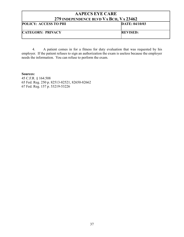# AAPECS EYE CARE 279 INDEPENDENCE BLVD VA BCH, VA 23462 POLICY: ACCESS TO PHI DATE: 04/10/03 CATEGORY: PRIVACY REVISED:

 4. A patient comes in for a fitness for duty evaluation that was requested by his employer. If the patient refuses to sign an authorization the exam is useless because the employer needs the information. You can refuse to perform the exam.

Sources: 45 C.F.R. § 164.508 65 Fed. Reg. 250 p. 82513-82521, 82650-82662 67 Fed. Reg. 157 p. 53219-53226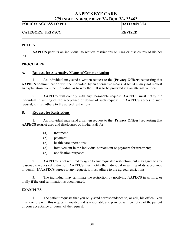| 217 поет екрексе бетр у Арси, у А <i>р</i> очо2 |                 |
|-------------------------------------------------|-----------------|
| <b>POLICY: ACCESS TO PHI</b>                    | DATE: 04/10/03  |
| <b>CATEGORY: PRIVACY</b>                        | <b>REVISED:</b> |

#### **POLICY**

AAPECS permits an individual to request restrictions on uses or disclosures of his/her PHI.

#### PROCEDURE

#### A. Request for Alternative Means of Communication

 1. An individual may send a written request to the [Privacy Officer] requesting that AAPECS communication with the individual by an alternative means. AAPECS may not request an explanation from the individual as to why the PHI is to be provided via an alternative mean.

2. **AAPECS** will comply with any reasonable request. **AAPECS** must notify the individual in writing of the acceptance or denial of such request. If AAPECS agrees to such request, it must adhere to the agreed restrictions.

#### B. Request for Restrictions

 1. An individual may send a written request to the [Privacy Officer] requesting that AAPECS restrict uses and disclosures of his/her PHI for:

- (a) treatment;
- (b) payment;
- (c) health care operations;
- (d) involvement in the individual's treatment or payment for treatment;
- (e) notification purposes.

 2. AAPECS is not required to agree to any requested restriction, but may agree to any reasonable requested restriction. AAPECS must notify the individual in writing of its acceptance or denial. If AAPECS agrees to any request, it must adhere to the agreed restrictions.

 3. The individual may terminate the restriction by notifying AAPECS in writing, or orally if the oral termination is documented.

#### **EXAMPLES**

 1. The patient requests that you only send correspondence to, or call, his office. You must comply with this request if you deem it is reasonable and provide written notice of the patient of your acceptance or denial of the request.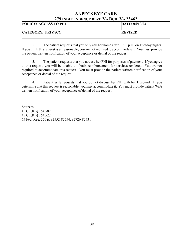| 417 ПОЕТЕПЛЕНСЕ ВЕТР У А DUII, У А 49 TO4 |                 |
|-------------------------------------------|-----------------|
| <b>POLICY: ACCESS TO PHI</b>              | DATE: 04/10/03  |
| <b>CATEGORY: PRIVACY</b>                  | <b>REVISED:</b> |

 2. The patient requests that you only call her home after 11:30 p.m. on Tuesday nights. If you think this request is unreasonable, you are not required to accommodate it. You must provide the patient written notification of your acceptance or denial of the request.

 3. The patient requests that you not use her PHI for purposes of payment. If you agree to this request, you will be unable to obtain reimbursement for services rendered. You are not required to accommodate this request. You must provide the patient written notification of your acceptance or denial of the request.

 4. Patient Wife requests that you do not discuss her PHI with her Husband. If you determine that this request is reasonable, you may accommodate it. You must provide patient Wife written notification of your acceptance of denial of the request.

Sources: 45 C.F.R. § 164.502 45 C.F.R. § 164.522 65 Fed. Reg. 250 p. 82552-82554, 82726-82731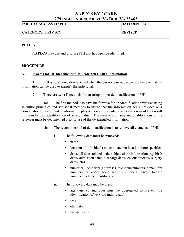| <i>LIJ</i> INDEFENDENCE BLVD VA DCH, VA 23402 |                 |
|-----------------------------------------------|-----------------|
| <b>POLICY: ACCESS TO PHI</b>                  | DATE: 04/10/03  |
| <b>CATEGORY: PRIVACY</b>                      | <b>REVISED:</b> |

#### **POLICY**

AAPECS may use and disclose PHI that has been de-identified.

#### PROCEDURE

#### A. Process for De-Identification of Protected Health Information

1. PHI is considered de-identified when there is no reasonable basis to believe that the information can be used to identify the individual.

2. There are two (2) methods for ensuring proper de-identification of PHI:

(a) The first method is to have the formula for de-identification reviewed using scientific principles and statistical methods to insure that the information being provided or a combination of the provided information plus other readily available information would not result in the individual identification of an individual. The review and name and qualifications of the reviewer must be documented prior to use of the de-identified information.

- (b) The second method of de-identification is to remove all elements of PHI:
	- i. The following data must be removed:
		- name
		- location of individual (can use state, no location more specific)
		- dates (all dates related to the subject of the information, e.g. birth dates, admission dates, discharge dates, encounter dates, surgery dates, etc)
		- numerical identifiers (addresses, telephone numbers, e-mail, fax numbers, zip codes, social security numbers, driver's license numbers, vehicle identifiers, etc)
	- ii. The following data may be used:
		- age (age 90 and over must be aggregated to prevent the identification of very old individuals)
		- race
		- ethnicity
		- marital status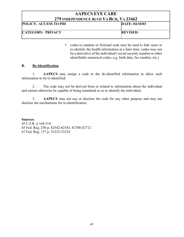| 217 поет екрексе бетр у А <b>р</b> ен, у А 20-102 |                 |
|---------------------------------------------------|-----------------|
| <b>POLICY: ACCESS TO PHI</b>                      | DATE: 04/10/03  |
| <b>CATEGORY: PRIVACY</b>                          | <b>REVISED:</b> |

 codes (a random or fictional code may be used to link cases or re-identify the health information at a later time; codes may not be a derivative of the individual's social security number or other identifiable numerical codes, e.g. birth date, fax number, etc.)

#### B. Re-Identification

 1. AAPECS may assign a code to the de-identified information to allow such information to be re-identified.

 2. The code may not be derived from or related to information about the individual and cannot otherwise be capable of being translated so as to identify the individual.

3. AAPECS may not use or disclose the code for any other purpose and may not disclose the mechanisms for re-identification.

#### Sources:

45 C.F.R. § 164.514 65 Fed. Reg. 250 p. 82542-82543, 82708-82712 67 Fed. Reg. 157 p. 53232-53234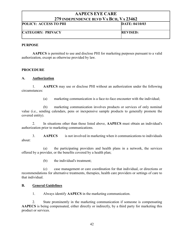| <b>POLICY: ACCESS TO PHI</b> | DATE: 04/10/03  |
|------------------------------|-----------------|
| <b>CATEGORY: PRIVACY</b>     | <b>REVISED:</b> |

#### PURPOSE

AAPECS is permitted to use and disclose PHI for marketing purposes pursuant to a valid authorization, except as otherwise provided by law.

#### PROCEDURE

#### A. Authorization

 1. AAPECS may use or disclose PHI without an authorization under the following circumstances:

(a) marketing communication is a face-to-face encounter with the individual;

 (b) marketing communication involves products or services of only nominal value (i.e., sending calendars, pens or inexpensive sample products to generally promote the covered entity).

 2. In situations other than those listed above, AAPECS must obtain an individual's authorization prior to marketing communications.

 3. AAPECS is not involved in marketing when it communications to individuals about:

 (a) the participating providers and health plans in a network, the services offered by a provider, or the benefits covered by a health plan;

(b) the individual's treatment;

 (c) case management or care coordination for that individual, or directions or recommendations for alternative treatments, therapies, health care providers or settings of care to that individual.

#### B. General Guidelines

1. Always identify AAPECS in the marketing communication.

 2. State prominently in the marketing communication if someone is compensating AAPECS is being compensated, either directly or indirectly, by a third party for marketing this product or services.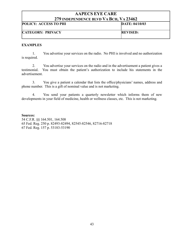| 217 пурет екрексе ретр у А DCII, у А 29 TV2 |                 |
|---------------------------------------------|-----------------|
| <b>POLICY: ACCESS TO PHI</b>                | DATE: 04/10/03  |
| <b>CATEGORY: PRIVACY</b>                    | <b>REVISED:</b> |

#### EXAMPLES

 1. You advertise your services on the radio. No PHI is involved and no authorization is required.

 2. You advertise your services on the radio and in the advertisement a patient gives a testimonial. You must obtain the patient's authorization to include his statements in the advertisement.

 3. You give a patient a calendar that lists the office/physicians' names, address and phone number. This is a gift of nominal value and is not marketing.

 4. You send your patients a quarterly newsletter which informs them of new developments in your field of medicine, health or wellness classes, etc. This is not marketing.

#### Sources:

54 C.F.R. §§ 164.501, 164.508 65 Fed. Reg. 250 p. 82493-82494, 82545-82546, 82716-82718 67 Fed. Reg. 157 p. 53183-53190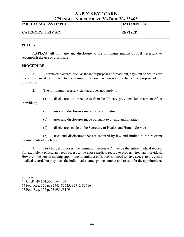| <i>LI)</i> нуви екрексе ветр у А вси, у А 29402 |                 |
|-------------------------------------------------|-----------------|
| <b>POLICY: ACCESS TO PHI</b>                    | DATE: 04/10/03  |
| <b>CATEGORY: PRIVACY</b>                        | <b>REVISED:</b> |

#### **POLICY**

AAPECS will limit use and disclosure to the minimum amount of PHI necessary to accomplish the use or disclosure.

#### PROCEDURE

 1. Routine disclosures, such as those for purposes of treatment, payment or health care operations, must be limited to the minimum amount necessary to achieve the purpose of the disclosure.

2. The minimum necessary standard does not apply to:

 (a) disclosures to or requests from health care providers for treatment of an individual;

- (b) uses and disclosures made to the individual;
- (c) uses and disclosures made pursuant to a valid authorization;
- (d) disclosures made to the Secretary of Health and Human Services;

 (e) uses and disclosures that are required by law and limited to the relevant requirements of such law.

 3. For clinical purposes, the "minimum necessary" may be the entire medical record. For example, a physician needs access to the entire medical record to properly treat an individual. However, the person making appointment reminder calls does not need to have access to the entire medical record, but may need the individual's name, phone number and reason for the appointment.

#### Sources:

45 C.F.R. §§ 164.502, 164.514 65 Fed. Reg. 250 p. 82543-82545, 82712-82716 67 Fed. Reg. 157 p. 53195-53199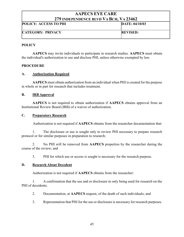| <i>LIJ</i> INDEI ENDENCE BLVD-VA DCII, VA 2070Z |                 |
|-------------------------------------------------|-----------------|
| <b>POLICY: ACCESS TO PHI</b>                    | DATE: 04/10/03  |
| <b>CATEGORY: PRIVACY</b>                        | <b>REVISED:</b> |

#### **POLICY**

AAPECS may invite individuals to participate in research studies. AAPECS must obtain the individual's authorization to use and disclose PHI, unless otherwise exempted by law.

#### PROCEDURE

#### A. Authorization Required

AAPECS must obtain authorization from an individual when PHI is created for the purpose in whole or in part for research that includes treatment.

#### B. IRB Approval

AAPECS is not required to obtain authorization if AAPECS obtains approval from an Institutional Review Board (IRB) of a waiver of authorization.

#### C. Preparatory Research

Authorization is not required if AAPECS obtains from the researcher documentation that:

1. The disclosure or use is sought only to review PHI necessary to prepare research protocol or for similar purposes in preparation to research;

2. No PHI will be removed from **AAPECS** properties by the researcher during the course of the review; and

3. PHI for which use or access is sought is necessary for the research purpose.

#### D. Research About Decedent

Authorization is not required if AAPECS obtains from the researcher:

1. A confirmation that the use and or disclosure in only being used for research on the PHI of decedents;

2. Documentation, at AAPECS request, of the death of such individuals; and

3. Representation that PHI for the use or disclosure is necessary for research purposes.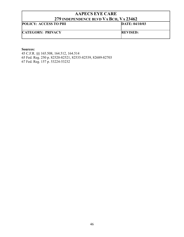| <i>ату</i> пуретелрелсе бетр у А рсп, у А <i>а</i> рто <i>а</i> |                 |
|-----------------------------------------------------------------|-----------------|
| <b>POLICY: ACCESS TO PHI</b>                                    | DATE: 04/10/03  |
|                                                                 |                 |
| <b>CATEGORY: PRIVACY</b>                                        | <b>REVISED:</b> |
|                                                                 |                 |

#### Sources:

45 C.F.R. §§ 165.508, 164.512, 164.514 65 Fed. Reg. 250 p. 82520-82521, 82535-82539, 82689-82703 67 Fed. Reg. 157 p. 53224-53232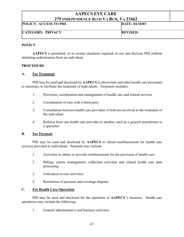| $\blacksquare$               | .               |
|------------------------------|-----------------|
| <b>POLICY: ACCESS TO PHI</b> | DATE: 04/10/03  |
| <b>CATEGORY: PRIVACY</b>     | <b>REVISED:</b> |
|                              |                 |

#### **POLICY**

 AAPECS is permitted, or in certain situations required, to use and disclose PHI without obtaining authorization from an individual.

#### PROCEDURE

#### A. For Treatment

PHI may be used and disclosed by AAPECS to physicians and other health care personnel as necessary to facilitate the treatment of individuals. Treatment includes:

- 1. Provision, coordination and management of health care and related services
- 2. Coordination of care with a third party
- 3. Consultation between health care providers if both are involved in the treatment of the individual
- 4. Referral from one health care provider to another, such as a general practitioner to a specialist

#### B. For Payment

 PHI may be used and disclosed by AAPECS to obtain reimbursement for health care services provided to individuals. Payment may include:

- 1. Activities to obtain or provide reimbursement for the provision of health care
- 2. Billing, claims management, collection activities and related health care data processing
- 3. Utilization review activities
- 4. Resolution of payment and coverage disputes

#### C. For Health Care Operation

PHI may be used and disclosed for the operation of **AAPECS** 's business. Health care operations may include the following:

1. General administrative and business activities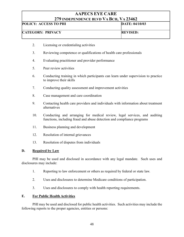| 217 ROELERDERCE DETD TA DUR TA 20102 |                 |
|--------------------------------------|-----------------|
| <b>POLICY: ACCESS TO PHI</b>         | DATE: 04/10/03  |
| <b>CATEGORY: PRIVACY</b>             | <b>REVISED:</b> |

- 2. Licensing or credentialing activities
- 3. Reviewing competence or qualifications of health care professionals
- 4. Evaluating practitioner and provider performance
- 5. Peer review activities
- 6. Conducting training in which participants can learn under supervision to practice to improve their skills
- 7. Conducting quality assessment and improvement activities
- 8. Case management and care coordination
- 9. Contacting health care providers and individuals with information about treatment alternatives
- 10. Conducting and arranging for medical review, legal services, and auditing functions, including fraud and abuse detection and compliance programs
- 11. Business planning and development
- 12. Resolution of internal grievances
- 13. Resolution of disputes from individuals

#### D. Required by Law

 PHI may be used and disclosed in accordance with any legal mandate. Such uses and disclosures may include:

- 1. Reporting to law enforcement or others as required by federal or state law.
- 2. Uses and disclosures to determine Medicare conditions of participation.
- 3. Uses and disclosures to comply with health reporting requirements.

#### E. For Public Health Activities

 PHI may be used and disclosed for public health activities. Such activities may include the following reports to the proper agencies, entities or persons: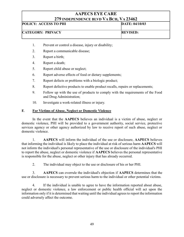| <i>LIJ</i> INDEFENDENCE BLVD VA DCH, VA ZJ40Z |                 |
|-----------------------------------------------|-----------------|
| <b>POLICY: ACCESS TO PHI</b>                  | DATE: 04/10/03  |
| <b>CATEGORY: PRIVACY</b>                      | <b>REVISED:</b> |

- 1. Prevent or control a disease, injury or disability;
- 2. Report a communicable disease;
- 3. Report a birth;
- 4. Report a death;
- 5. Report child abuse or neglect;
- 6. Report adverse effects of food or dietary supplements;
- 7. Report defects or problems with a biologic product;
- 8. Report defective products to enable product recalls, repairs or replacements;
- 9. Follow up with the use of products to comply with the requirements of the Food and Drug Administration;
- 10. Investigate a work-related illness or injury.

#### F. For Victims of Abuse, Neglect or Domestic Violence

 In the event that the AAPECS believes an individual is a victim of abuse, neglect or domestic violence, PHI will be provided to a government authority, social service, protective services agency or other agency authorized by law to receive report of such abuse, neglect or domestic violence.

1. AAPECS will inform the individual of the use or disclosure, AAPECS believes that informing the individual is likely to place the individual at risk of serious harm AAPECS will not inform the individual's personal representative of the use or disclosure of the individual's PHI to report the abuse, neglect or domestic violence if AAPECS believes the personal representative is responsible for the abuse, neglect or other injury that has already occurred.

2. The individual may object to the use or disclosure of his or her PHI.

3. AAPECS can overrule the individual's objection if AAPECS determines that the use or disclosure is necessary to prevent serious harm to the individual or other potential victims.

4. If the individual is unable to agree to have the information reported about abuse, neglect or domestic violence, a law enforcement or public health official will act upon the information only if it is determined that waiting until the individual agrees to report the information could adversely affect the outcome.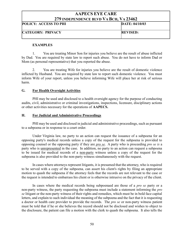| <b>POLICY: ACCESS TO PHI</b> | DATE: 04/10/03  |
|------------------------------|-----------------|
| <b>CATEGORY: PRIVACY</b>     | <b>REVISED:</b> |

#### **EXAMPLES**

 1. You are treating Minor Son for injuries you believe are the result of abuse inflicted by Dad. You are required by state law to report such abuse. You do not have to inform Dad or Mom (as personal representative) that you reported the abuse.

 2. You are treating Wife for injuries you believe are the result of domestic violence inflicted by Husband. You are required by state law to report such domestic violence. You must inform Wife of your report, unless you believe informing Wife will place her at risk of serious harm.

#### G. For Health Oversight Activities

PHI may be used and disclosed to a health oversight agency for the purpose of conducting audits, civil, administrative or criminal investigations, inspections, licensure, disciplinary actions or other activities necessary for the operations of AAPECS.

#### H. For Judicial and Administrative Proceedings

PHI may be used and disclosed in judicial and administrative proceedings, such as pursuant to a subpoena or in response to a court order.

 Under Virginia law, no party to an action can request the issuance of a subpoena for an opposing party's medical records unless a copy of the request for the subpoena is provided to opposing counsel or the opposing party if they are pro se. A party who is proceeding pro se is a party who is unrepresented in the case. In addition, no party to an action can request a subpoena to be issued for medical records of a non-party witness unless a copy of the request for the subpoena is also provided to the non-party witness simultaneously with the request.

 In cases where attorneys represent litigants, it is presumed that the attorney, who is required to be served with a copy of the subpoena, can assert his client's rights by filing an appropriate motion to quash the subpoena if the attorney feels that the records are not relevant to the case or the request is intended to embarrass his client or is otherwise intrusive on the privacy of the client.

In cases where the medical records being subpoenaed are those of a *pro se* party or a non-party witness, the party requesting the subpoena must include a statement informing the *pro* se litigant or the non-party witness of their rights and remedies, which must be in bold face capital letters, and explain to such individual the meaning of the subpoena and the fact that it is requesting a doctor or health care provider to provide the records. The *pro se* or non-party witness patient must be told that if he or she believes the record should not be disclosed and wishes to object to the disclosure, the patient can file a motion with the clerk to quash the subpoena. It also tells the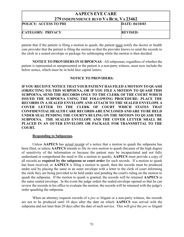# AAPECS EYE CARE 279 INDEPENDENCE BLVD VA BCH, VA 23462 POLICY: ACCESS TO PHI DATE: 04/10/03 CATEGORY: PRIVACY REVISED:

patient that if the patient is filing a motion to quash, the patient must notify the doctor or health care provider that the patient is filing the motion so that the provider knows to send the records to the clerk in a seated envelope or package for safekeeping while the motion is then decided.

NOTICE TO PROVIDERS IN SUBPOENAS - All subpoenas, regardless of whether the patient is represented or unrepresented or the patient is a non-party witness, must now include the below notice, which must be in bold face capital letters:

#### NOTICE TO PROVIDERS:

IF YOU RECEIVE NOTICE THAT YOUR PATIENT HAS FILED A MOTION TO QUASH (OBJECTING TO) THIS SUBPOENA, OR IF YOU FILE A MOTION TO QUASH THIS SUBPOENA, SEND THE RECORDS ONLY TO THE CLERK OF THE COURT WHICH ISSUED THE SUBPOENA USING THE FOLLOWING PROCEDURE: PLACE THE RECORDS IN A SEALED ENVELOPE AND ATTACH TO THE SEALED ENVELOPE A COVER LETTER TO THE CLERK OF COURT WHICH STATES THAT CONFIDENTIAL HEALTH CARE RECORDS ARE ENCLOSED AND ARE TO BE HELD UNDER SEAL PENDING THE COURT'S RULING ON THE MOTION TO QUASH THE SUBPOENA. THE SEALED ENVELOPE AND THE COVER LETTER SHALL BE PLACED IN AN OUTER ENVELOPE OR PACKAGE FOR TRANSMITTAL TO THE COURT.

#### Responding to Subpoenas.

 Unless AAPECS has actual receipt of a notice that a motion to quash the subpoena has been filed, or unless AAPECS intends to file its own motion to quash (because of the high degree of sensitivity of the information or because the patient may be incapacitated and not fully understand or comprehend the need to file a motion to quash), AAPECS must provide a copy of all records as required by the subpoena or court order for such records. If a motion to quash has been received, or **AAPECS** is filing a motion to quash, then the records must be produced under seal by placing the same in an outer envelope with a letter to the clerk of court informing the clerk they are being provided to be held under seal pending the court's ruling on the motion to quash the subpoena. If the motion to quash is granted, the records will be returned AAPECS in the same sealed envelope. In the event the judge orders the sealed envelope opened so that he can review the records in his office to evaluate the motion, the records will be returned with the judge's order quashing the subpoena.

When an attorney requests records of a *pro se* litigant or a non-party witness, the records are not to be produced until 10 days after the date on which AAPECS was served with the subpoena and not later than 20 days after the date of such service. This will give the pro se litigant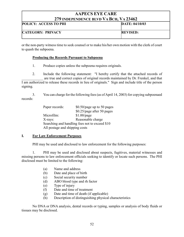| <i>LIJ</i> INDEFENDENCE BLVD VA DCH, VA 23402 |                 |
|-----------------------------------------------|-----------------|
| <b>POLICY: ACCESS TO PHI</b>                  | DATE: 04/10/03  |
| <b>CATEGORY: PRIVACY</b>                      | <b>REVISED:</b> |

or the non-party witness time to seek counsel or to make his/her own motion with the clerk of court to quash the subpoena.

#### Producing the Records Pursuant to Subpoena

1. Produce copies unless the subpoena requires originals.

 2. Include the following statement: "I hereby certify that the attached records of are true and correct copies of original records maintained by Dr. Frenkel, and that I am authorized to release these records in lieu of originals." Sign and include title of the person signing.

 3. You can charge for the following fees (as of April 14, 2003) for copying subpoenaed records:

| Paper records:                 | \$0.50/page up to 50 pages                     |
|--------------------------------|------------------------------------------------|
|                                | \$0.25/page after 50 pages                     |
| Microfilm:                     | $$1.00$ /page                                  |
| $X-rays:$                      | Reasonable charge                              |
|                                | Searching and handling fees not to exceed \$10 |
| All postage and shipping costs |                                                |

#### I. For Law Enforcement Purposes

PHI may be used and disclosed to law enforcement for the following purposes:

1. PHI may be used and disclosed about suspects, fugitives, material witnesses and missing persons to law enforcement officials seeking to identify or locate such persons. The PHI disclosed must be limited to the following:

- (a) Name and address
- (b) Date and place of birth
- (c) Social security number
- (d) ABO blood type and rh factor
- (e) Type of injury
- (f) Date and time of treatment
- (g) Date and time of death (if applicable)
- (h) Description of distinguishing physical characteristics

No DNA or DNA analysis, dental records or typing, samples or analysis of body fluids or tissues may be disclosed.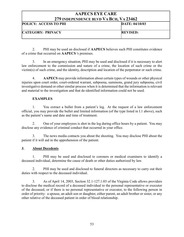| $\blacksquare$ . Then endered better through the ide |                 |
|------------------------------------------------------|-----------------|
| <b>POLICY: ACCESS TO PHI</b>                         | DATE: 04/10/03  |
| <b>CATEGORY: PRIVACY</b>                             | <b>REVISED:</b> |

2. PHI may be used an disclosed if AAPECS believes such PHI constitutes evidence of a crime that occurred on AAPECS 's premises.

3. In an emergency situation, PHI may be used and disclosed if it is necessary to alert law enforcement to the commission and nature of a crime, the location of such crime or the victim(s) of such crime, and the identity, description and location of the perpetrator or such crime.

4. AAPECS may provide information about certain types of wounds or other physical injuries upon court order, court-ordered warrant, subpoena, summons, grand jury subpoena, civil investigative demand or other similar process when it is determined that the information is relevant and material to the investigation and that de-identified information could not be used.

#### EXAMPLES

 1. You extract a bullet from a patient's leg. At the request of a law enforcement official, you may provide the bullet and limited information (of the type listed in I.1 above), such as the patient's name and date and time of treatment.

 2. One of your employees is shot in the leg during office hours by a patient. You may disclose any evidence of criminal conduct that occurred in your office.

 3. The news media contacts you about the shooting. You may disclose PHI about the patient if it will aid in the apprehension of the patient.

#### J. About Decedents

1. PHI may be used and disclosed to coroners or medical examiners to identify a deceased individual, determine the cause of death or other duties authorized by law.

2. PHI may be used and disclosed to funeral directors as necessary to carry out their duties with respect to the deceased individual.

3. As of April 14, 2003, Section 32.1-127.1:03 of the Virginia Code allows providers to disclose the medical record of a deceased individual to the personal representative or executor of the deceased, or if there is no personal representative or executor, to the following person in order of priority: a spouse, an adult son or daughter, either parent, an adult brother or sister, or any other relative of the deceased patient in order of blood relationship.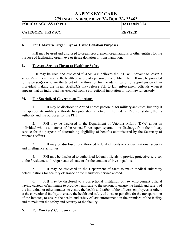| $\blacksquare$               |                 |
|------------------------------|-----------------|
| <b>POLICY: ACCESS TO PHI</b> | DATE: 04/10/03  |
| <b>CATEGORY: PRIVACY</b>     | <b>REVISED:</b> |

#### K. For Cadaveric Organ, Eye or Tissue Donation Purposes

PHI may be used and disclosed to organ procurement organizations or other entities for the purpose of facilitating organ, eye or tissue donation or transplantation.

#### L. To Avert Serious Threat to Health or Safety

PHI may be used and disclosed if AAPECS believes the PHI will prevent or lessen a serious/imminent threat to the health or safety of a person or the public. The PHI may be provided to the person(s) who are the target of the threat or for the identification or apprehension of an individual making the threat. AAPECS may release PHI to law enforcement officials when it appears that an individual has escaped from a correctional institution or from lawful custody.

#### M. For Specialized Government Functions

1. PHI may be disclosed to Armed Forces personnel for military activities, but only if the appropriate military authority has published a notice in the Federal Register stating the its authority and the purposes for the PHI.

2. PHI may be disclosed to the Department of Veterans Affairs (DVA) about an individual who is a member of the Armed Forces upon separation or discharge from the military service for the purpose of determining eligibility of benefits administered by the Secretary of Veterans Affairs.

3. PHI may be disclosed to authorized federal officials to conduct national security and intelligence activities.

4. PHI may be disclosed to authorized federal officials to provide protective services to the President, to foreign heads of state or for the conduct of investigations.

5. PHI may be disclosed to the Department of State to make medical suitability determinations for security clearance or for mandatory service abroad.

6. PHI may be disclosed to a correctional institution or law enforcement official having custody of an inmate to provide healthcare to the person, to ensure the health and safety of the individual or other inmates, to ensure the health and safety of the officers, employees or others at the correctional facility, to ensure the health and safety of those responsible for the transportation of the inmates, to ensure the health and safety of law enforcement on the premises of the facility and to maintain the safety and security of the facility.

#### N. For Workers' Compensation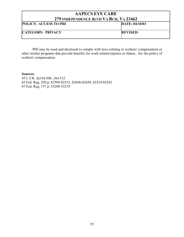| <b>AAPECS EYE CARE</b>                 |                 |
|----------------------------------------|-----------------|
| 279 INDEPENDENCE BLVD VA BCH, VA 23462 |                 |
| POLICY: ACCESS TO PHI                  | DATE: 04/10/03  |
| <b>CATEGORY: PRIVACY</b>               | <b>REVISED:</b> |

PHI may be used and disclosed to comply with laws relating to workers' compensation or other similar programs that provide benefits for work-related injuries or illness. See the policy of workers' compensation.

#### Sources:

45 C.F.R. §§164.506, 164.512 65 Fed. Reg. 250 p. 82509-82513, 82648-82650, 82524-82542 67 Fed. Reg. 157 p. 53208-53219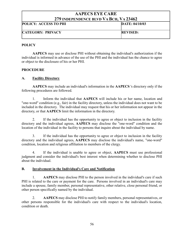| $\blacksquare$ . Then endered better the periodic state in $\blacksquare$ |                 |
|---------------------------------------------------------------------------|-----------------|
| <b>POLICY: ACCESS TO PHI</b>                                              | DATE: 04/10/03  |
| <b>CATEGORY: PRIVACY</b>                                                  | <b>REVISED:</b> |

#### **POLICY**

AAPECS may use or disclose PHI without obtaining the individual's authorization if the individual is informed in advance of the use of the PHI and the individual has the chance to agree or object to the disclosure of his or her PHI.

#### PROCEDURE

#### A. Facility Directory

AAPECS may include an individual's information in the AAPECS 's directory only if the following procedures are followed.

1. Inform the individual that AAPECS will include his or her name, location and "one-word" condition (e.g., fair) in the facility directory, unless the individual does not want to be included in the directory. The individual may request that his or her information not appear in the directory, or that AAPECS limit the information in the directory.

2. If the individual has the opportunity to agree or object to inclusion in the facility directory and the individual agrees, AAPECS may disclose the "one-word" condition and the location of the individual in the facility to persons that inquire about the individual by name.

 3. If the individual has the opportunity to agree or object to inclusion in the facility directory and the individual agrees, AAPECS may disclose the individual's name, "one-word" condition, location and religious affiliation to members of the clergy.

4. If the individual is unable to agree or object, AAPECS must use professional judgment and consider the individual's best interest when determining whether to disclose PHI about the individual.

#### B. Involvement in the Individual's Care and Notification

1. AAPECS may disclose PHI to the person involved in the individual's care if such PHI is related to the care or payment for the care. Persons involved in an individual's care may include a spouse, family member, personal representative, other relative, close personal friend, or other person specifically named by the individual.

2. AAPECS may disclose PHI to notify family members, personal representatives, or other persons responsible for the individual's care with respect to the individual's location, condition or death.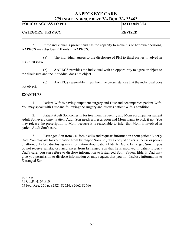| <i>LIJ</i> INDEPENDENCE BLVD VA DCH, VA 2340Z |                 |
|-----------------------------------------------|-----------------|
| <b>POLICY: ACCESS TO PHI</b>                  | DATE: 04/10/03  |
| <b>CATEGORY: PRIVACY</b>                      | <b>REVISED:</b> |

3. If the individual is present and has the capacity to make his or her own decisions, AAPECS may disclose PHI only if AAPECS:

(a) The individual agrees to the disclosure of PHI to third parties involved in his or her care.

(b) AAPECS provides the individual with an opportunity to agree or object to the disclosure and the individual does not object.

(c) AAPECS reasonably infers from the circumstances that the individual does not object.

#### EXAMPLES

 1. Patient Wife is having outpatient surgery and Husband accompanies patient Wife. You may speak with Husband following the surgery and discuss patient Wife's condition.

 2. Patient Adult Son comes in for treatment frequently and Mom accompanies patient Adult Son every time. Patient Adult Son needs a prescription and Mom wants to pick it up. You may release the prescription to Mom because it is reasonable to infer that Mom is involved in patient Adult Son's care.

 3. Estranged Son from California calls and requests information about patient Elderly Dad. You may ask for verification from Estranged Son (i.e., fax a copy of driver's license or power of attorney) before disclosing any information about patient Elderly Dad to Estranged Son. If you do not receive satisfactory assurances from Estranged Son that he is involved in patient Elderly Dad's care, you can refuse to disclose information to Estranged Son. Patient Elderly Dad may give you permission to disclose information or may request that you not disclose information to Estranged Son.

Sources: 45 C.F.R. §164.510 65 Fed. Reg. 250 p. 82521-82524, 82662-82666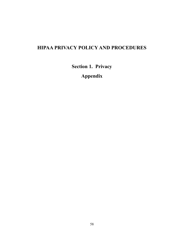# HIPAA PRIVACY POLICY AND PROCEDURES

Section 1. Privacy

Appendix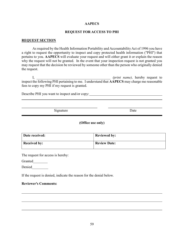#### REQUEST FOR ACCESS TO PHI

#### REQUEST SECTION

As required by the Health Information Portability and Accountability Act of 1996 you have a right to request the opportunity to inspect and copy protected health information ("PHI") that pertains to you. AAPECS will evaluate your request and will either grant it or explain the reason why the request will not be granted. In the event that your inspection request is not granted you may request that the decision be reviewed by someone other than the person who originally denied the request.

I, *D* and the same of the same of the same of the same of the same of the same of the same of the same of the same of the same of the same of the same of the same of the same of the same of the same of the same of the sam inspect the following PHI pertaining to me. I understand that AAPECS may charge me reasonable fees to copy my PHI if my request is granted.

Describe PHI you want to inspect and/or copy:

Signature Date

#### (Office use only)

| Date received:      | <b>Reviewed by:</b> |
|---------------------|---------------------|
| <b>Received by:</b> | <b>Review Date:</b> |

The request for access is hereby:

Granted

 $\overline{a}$ 

 $\overline{\phantom{0}}$ 

 $\overline{a}$ 

Denied

If the request is denied, indicate the reason for the denial below.

#### Reviewer's Comments: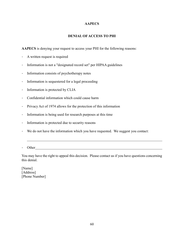#### DENIAL OF ACCESS TO PHI

AAPECS is denying your request to access your PHI for the following reasons:

- A written request is required
- Information is not a "designated record set" per HIPAA guidelines
- Information consists of psychotherapy notes
- Information is sequestered for a legal proceeding
- Information is protected by CLIA
- Confidential information which could cause harm
- Privacy Act of 1974 allows for the protection of this information
- Information is being used for research purposes at this time
- Information is protected due to security reasons
- We do not have the information which you have requested. We suggest you contact:
- Other contact the contact of the contact of the contact of the contact of the contact of the contact of the contact of the contact of the contact of the contact of the contact of the contact of the contact of the contact o

 $\overline{a}$ 

You may have the right to appeal this decision. Please contact us if you have questions concerning this denial.

[Name] [Address] [Phone Number]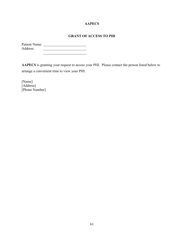### GRANT OF ACCESS TO PHI

| <b>Patient Name:</b> |  |
|----------------------|--|
| Address:             |  |

AAPECS is granting your request to access your PHI. Please contact the person listed below to arrange a convenient time to view your PHI.

[Name] [Address] [Phone Number]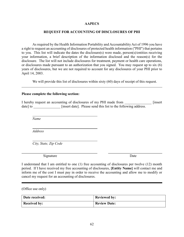#### REQUEST FOR ACCOUNTING OF DISCLOSURES OF PHI

As required by the Health Information Portability and Accountability Act of 1996 you have a right to request an accounting of disclosures of protected health information ("PHI") that pertains to you. This list will indicate the dates the disclosure(s) were made, person(s)/entities receiving your information, a brief description of the information disclosed and the reason(s) for the disclosure. The list will not include disclosures for treatment, payment or health care operations, or disclosures made pursuant to an authorization that you signed. You may request up to six (6) years of disclosures, but we are not required to account for any disclosures of your PHI prior to April 14, 2003.

We will provide this list of disclosures within sixty (60) days of receipt of this request.

#### Please complete the following section:

I hereby request an accounting of disclosures of my PHI made from [insert] date] to **lack** [insert date]. Please send this list to the following address.

Name

l

 $\overline{a}$ 

Address

City, State, Zip Code

Signature Date

I understand that I am entitled to one (1) free accounting of disclosures per twelve (12) month period. If I have received my free accounting of disclosures, [Entity Name] will contact me and inform me of the cost I must pay in order to receive the accounting and allow me to modify or cancel my request for an accounting of disclosures.

(Office use only)

| Date received:      | <b>Reviewed by:</b> |
|---------------------|---------------------|
| <b>Received by:</b> | <b>Review Date:</b> |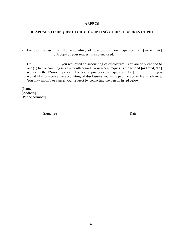#### RESPONSE TO REQUEST FOR ACCOUNTING OF DISCLOSURES OF PHI

- Enclosed please find the accounting of disclosures you requested on [insert date] \_\_\_\_\_\_\_\_\_\_\_\_\_\_\_. A copy of your request is also enclosed.
- On \_\_\_\_\_\_\_\_\_\_\_\_\_\_\_\_\_, you requested an accounting of disclosures. You are only entitled to one (1) free accounting in a 12-month period. Your recent request is the second [or third, etc.] request in the 12-month period. The cost to process your request will be \$ The U. If you would like to receive the accounting of disclosures you must pay the above fee in advance. You may modify or cancel your request by contacting the person listed below.

[Name] [Address] [Phone Number]

 $\overline{a}$ 

Signature Date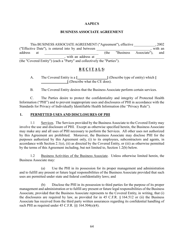#### BUSINESS ASSOCIATE AGREEMENT

This BUSINESS ASSOCIATE AGREEMENT ("Agreement"), effective \_\_\_\_\_\_\_\_\_\_\_\_, 2002 ("Effective Date"), is entered into by and between \_\_\_\_\_\_\_\_\_\_\_\_\_\_\_\_\_\_\_\_\_\_\_\_\_\_\_\_\_\_, with an address at the "Business Associate"), and , with an address at

(the "Covered Entity") (each a "Party" and collectively the "Parties").

### R E C I T A L S:

A. The Covered Entity is a [ [ [ [ [ ] [ ] (Describe type of entity) which [ ] (Describe what the CE does).

B. The Covered Entity desires that the Business Associate perform certain services.

C. The Parties desire to protect the confidentiality and integrity of Protected Health Information ("PHI") and to prevent inappropriate uses and disclosures of PHI in accordance with the Standards for Privacy of Individually Identifiable Health Information (the "Privacy Rule").

#### 1. PERMITTED USES AND DISCLOSURES OF PHI

1.1 Services. The Services provided by the Business Associate to the Covered Entity may involve the use and disclosure of PHI. Except as otherwise specified herein, the Business Associate may make any and all uses of PHI necessary to perform the Services. All other uses not authorized by this Agreement are prohibited. Moreover, the Business Associate may disclose PHI for the purposes authorized by this Agreement only, (i) to its employees, subcontractors and agents, in accordance with Section 2.1(e), (ii) as directed by the Covered Entity, or (iii) as otherwise permitted by the terms of this Agreement including, but not limited to, Section 1.2(b) below.

1.2 Business Activities of the Business Associate. Unless otherwise limited herein, the Business Associate may:

(a) Use the PHI in its possession for its proper management and administration and to fulfill any present or future legal responsibilities of the Business Associate provided that such uses are permitted under state and federal confidentiality laws; and

(b) Disclose the PHI in its possession to third parties for the purpose of its proper management and administration or to fulfill any present or future legal responsibilities of the Business Associate, provided that the Business Associate represents to the Covered Entity, in writing, that (i) the disclosures are required by law, as provided for in 45 C.F.R. § 164.512 or (ii) the Business Associate has received from the third party written assurances regarding its confidential handling of such PHI as required under  $45$  C.F.R.  $\S$  $\S$   $164.504(e)(4)$ .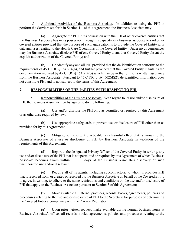1.3 Additional Activities of the Business Associate. In addition to using the PHI to perform the Services set forth in Section 1.1 of this Agreement, the Business Associate may:

(a) Aggregate the PHI in its possession with the PHI of other covered entities that the Business Associate has in its possession through its capacity as a business associate to said other covered entities provided that the purpose of such aggregation is to provide the Covered Entity with data analyses relating to the Health Care Operations of the Covered Entity. Under no circumstances may the Business Associate disclose PHI of one Covered Entity to another Covered Entity absent the explicit authorization of the Covered Entity; and

(b) De-identify any and all PHI provided that the de-identification conforms to the requirements of 45 C.F.R. § 164.514(b), and further provided that the Covered Entity maintains the documentation required by 45 C.F.R. § 164.514(b) which may be in the form of a written assurance from the Business Associate. Pursuant to 45 C.F.R. § 164.502(d)(2), de-identified information does not constitute PHI and is not subject to the terms of this Agreement.

#### 2. RESPONSIBILITIES OF THE PARTIES WITH RESPECT TO PHI

2.1 Responsibilities of the Business Associate. With regard to its use and/or disclosure of PHI, the Business Associate hereby agrees to do the following:

(a) Use and/or disclose the PHI only as permitted or required by this Agreement or as otherwise required by law;

(b) Use appropriate safeguards to prevent use or disclosure of PHI other than as provided for by this Agreement;

(c) Mitigate, to the extent practicable, any harmful effect that is known to the Business Associate of a use or disclosure of PHI by Business Associate in violation of the requirements of this Agreement;

(d) Report to the designated Privacy Officer of the Covered Entity, in writing, any use and/or disclosure of the PHI that is not permitted or required by this Agreement of which Business Associate becomes aware within days of the Business Associate's discovery of such unauthorized use and/or disclosure;

(e) Require all of its agents, including subcontractors, to whom it provides PHI that is received from, or created or received by, the Business Associate on behalf of the Covered Entity to agree, in writing, to adhere to the same restrictions and conditions on the use and/or disclosure of PHI that apply to the Business Associate pursuant to Section 3 of this Agreement;

(f) Make available all internal practices, records, books, agreements, policies and procedures relating to the use and/or disclosure of PHI to the Secretary for purposes of determining the Covered Entity's compliance with the Privacy Regulation;

(g) Upon prior written request, make available during normal business hours at Business Associate's offices all records, books, agreements, policies and procedures relating to the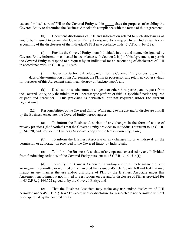use and/or disclosure of PHI to the Covered Entity within \_\_\_\_\_ days for purposes of enabling the Covered Entity to determine the Business Associate's compliance with the terms of this Agreement;

(h) Document disclosures of PHI and information related to such disclosures as would be required to permit the Covered Entity to respond to a request by an Individual for an accounting of the disclosures of the Individual's PHI in accordance with 45 C.F.R. § 164.528;

(i) Provide the Covered Entity or an Individual, in time and manner designated by Covered Entity information collected in accordance with Section 2.1(h) of this Agreement, to permit the Covered Entity to respond to a request by an Individual for an accounting of disclosures of PHI in accordance with 45 C.F.R. § 164.528;

(j) Subject to Section 5.4 below, return to the Covered Entity or destroy, within days of the termination of this Agreement, the PHI in its possession and retain no copies (which for purposes of this Agreement shall mean destroy all backup tapes); and

(k) Disclose to its subcontractors, agents or other third parties, and request from the Covered Entity, only the minimum PHI necessary to perform or fulfill a specific function required or permitted hereunder. [This provision is permitted, but not required under the current regulations]

2.2 Responsibilities of the Covered Entity. With regard to the use and/or disclosure of PHI by the Business Associate, the Covered Entity hereby agrees:

(a) To inform the Business Associate of any changes in the form of notice of privacy practices (the "Notice") that the Covered Entity provides to Individuals pursuant to 45 C.F.R. § 164.520, and provide the Business Associate a copy of the Notice currently in use;

(b) To inform the Business Associate of any changes in, or withdrawal of, the permission or authorization provided to the Covered Entity by Individuals;

(c) To inform the Business Associate of any opt-outs exercised by any Individual from fundraising activities of the Covered Entity pursuant to 45 C.F.R. § 164.514(f);

(d) To notify the Business Associate, in writing and in a timely manner, of any arrangements permitted or required of the Covered Entity under 45 C.F.R. parts 160 and 164 that may impact in any manner the use and/or disclosure of PHI by the Business Associate under this Agreement, including, but not limited to, restrictions on use and/or disclosure of PHI as provided for in 45 C.F.R. § 164.522 agreed to by the Covered Entity; and

(e) That the Business Associate may make any use and/or disclosure of PHI permitted under 45 C.F.R. § 164.512 except uses or disclosure for research are not permitted without prior approval by the covered entity.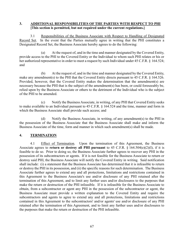#### 3. ADDITIONAL RESPONSIBILITIES OF THE PARTIES WITH RESPECT TO PHI [This section is permitted, but not required under the current regulations.]

 3.1 Responsibilities of the Business Associate with Respect to Handling of Designated Record Set. In the event that the Parties mutually agree in writing that the PHI constitutes a Designated Record Set, the Business Associate hereby agrees to do the following:

(a) At the request of, and in the time and manner designated by the Covered Entity, provide access to the PHI to the Covered Entity or the Individual to whom such PHI relates or his or her authorized representative in order to meet a request by such Individual under 45 C.F.R. § 164.524; and

(b) At the request of, and in the time and manner designated by the Covered Entity, make any amendment(s) to the PHI that the Covered Entity directs pursuant to 45 C.F.R. § 164.526. Provided, however, that the Covered Entity makes the determination that the amendment(s) are necessary because the PHI that is the subject of the amendment(s) has been, or could foreseeably be, relied upon by the Business Associate or others to the detriment of the Individual who is the subject of the PHI to be amended.

(c) Notify the Business Associate, in writing, of any PHI that Covered Entity seeks to make available to an Individual pursuant to 45 C.F.R. § 164.524 and the time, manner and form in which the Business Associate shall provide such access; and

(d) Notify the Business Associate, in writing, of any amendment(s) to the PHI in the possession of the Business Associate that the Business Associate shall make and inform the Business Associate of the time, form and manner in which such amendment(s) shall be made.

#### 4. TERMINATION

4.1 Effect of Termination. Upon the termination of this Agreement, the Business Associate agrees to return or destroy all PHI pursuant to 45 C.F.R.  $\S$  164.504(e)(2)(I), if it is feasible to do so. Prior to doing so, the Business Associate further agrees to recover any PHI in the possession of its subcontractors or agents. If it is not feasible for the Business Associate to return or destroy said PHI, the Business Associate will notify the Covered Entity in writing. Said notification shall include: (i) a statement that the Business Associate has determined that it is infeasible to return or destroy the PHI in its possession, and (ii) the specific reasons for such determination. The Business Associate further agrees to extend any and all protections, limitations and restrictions contained in this Agreement to the Business Associate's use and/or disclosure of any PHI retained after the termination of this Agreement, and to limit any further uses and/or disclosures to the purposes that make the return or destruction of the PHI infeasible. If it is infeasible for the Business Associate to obtain, from a subcontractor or agent any PHI in the possession of the subcontractor or agent, the Business Associate must provide a written explanation to the Covered Entity and require the subcontractors and agents to agree to extend any and all protections, limitations and restrictions contained in this Agreement to the subcontractors' and/or agents' use and/or disclosure of any PHI retained after the termination of this Agreement, and to limit any further uses and/or disclosures to the purposes that make the return or destruction of the PHI infeasible.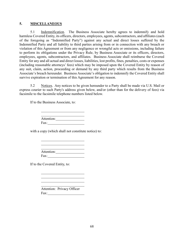#### 5. MISCELLANEOUS

5.1 Indemnification. The Business Associate hereby agrees to indemnify and hold harmless Covered Entity, its officers, directors, employees, agents, subcontractors, and affiliates (each of the foregoing as "Indemnified Party") against any actual and direct losses suffered by the Indemnified Party and all liability to third parties arising from or in connection with any breach or violation of this Agreement or from any negligence or wrongful acts or omissions, including failure to perform its obligations under the Privacy Rule, by Business Associate or its officers, directors, employees, agents, subcontractors, and affiliates. Business Associate shall reimburse the Covered Entity for any and all actual and direct losses, liabilities, lost profits, fines, penalties, costs or expenses (including reasonable attorneys' fees) which may be imposed upon the Covered Entity by reason of any suit, claim, action, proceeding or demand by any third party which results from the Business Associate's breach hereunder. Business Associate's obligation to indemnify the Covered Entity shall survive expiration or termination of this Agreement for any reason.

5.2 Notices. Any notices to be given hereunder to a Party shall be made via U.S. Mail or express courier to such Party's address given below, and/or (other than for the delivery of fees) via facsimile to the facsimile telephone numbers listed below.

If to the Business Associate, to:

<u> 1980 - Johann Barbara, martin a</u> Attention: Fax:

with a copy (which shall not constitute notice) to:

Attention: Fax: The state of the state of the state of the state of the state of the state of the state of the state of the state of the state of the state of the state of the state of the state of the state of the state of the state

If to the Covered Entity, to:

 Attention: Privacy Officer Fax: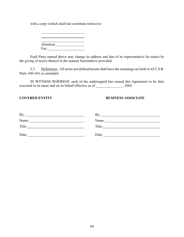with a copy (which shall not constitute notice) to:

Attention: Fax:

Each Party named above may change its address and that of its representative for notice by the giving of notice thereof in the manner hereinabove provided.

5.3 Definitions. All terms not defined herein shall have the meanings set forth in 45 C.F.R. Parts 160-164, as amended.

IN WITNESS WHEREOF, each of the undersigned has caused this Agreement to be duly executed in its name and on its behalf effective as of \_\_\_\_\_\_\_\_\_\_\_\_\_\_, 2003.

#### **COVERED ENTITY BUSINESS ASSOCIATE**

| By:    | Bv:    |
|--------|--------|
| Name:  | Name:  |
| Title: | Title: |
| Date:  | Date:  |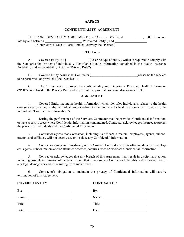#### CONFIDENTIALITY AGREEMENT

 THIS CONFIDENTIALITY AGREEMENT (the "Agreement"), dated \_\_\_\_\_\_\_\_\_\_\_, 2003, is entered into by and between \_\_\_\_\_\_\_\_\_\_\_\_\_\_\_\_\_\_\_\_\_\_\_\_\_\_\_\_\_\_\_\_("Covered Entity") and ("Contractor") (each a "Party" and collectively the "Parties").

#### RECITALS

A. Covered Entity is a [ ](describe type of entity), which is required to comply with the Standards for Privacy of Individually Identifiable Health Information contained in the Health Insurance Portability and Accountability Act (the "Privacy Rule").

B. Covered Entity desires that Contractor [  $\qquad \qquad$  ](describe the services to be performed or provided) (the "Services").

 C. The Parties desire to protect the confidentiality and integrity of Protected Health Information ("PHI"), as defined in the Privacy Rule and to prevent inappropriate uses and disclosures of PHI.

#### AGREEMENT

 1. Covered Entity maintains health information which identifies individuals, relates to the health care services provided to the individual, and/or relates to the payment for health care services provided to the individual ("Confidential Information").

 2. During the performance of the Services, Contractor may be provided Confidential Information, or have access to areas where Confidential Information is maintained. Contractor acknowledges the need to protect the privacy of individuals and the Confidential Information.

 3. Contractor agrees that Contractor, including its officers, directors, employees, agents, subcontractors and affiliates, will not access, use or disclose any Confidential Information.

 4. Contractor agrees to immediately notify Covered Entity if any of its officers, directors, employees, agents, subcontractors and/or affiliates accesses, acquires, uses or discloses Confidential Information.

 5. Contractor acknowledges that any breach of this Agreement may result in disciplinary action, including possible termination of the Services and that it may subject Contractor to liability and responsibility for any legal damages or awards resulting from such breach.

 6. Contractor's obligation to maintain the privacy of Confidential Information will survive termination of this Agreement.

#### COVERED ENTITY CONTRACTOR

| By:                                                                                                                  | By:                                                         |
|----------------------------------------------------------------------------------------------------------------------|-------------------------------------------------------------|
| <u> 1989 - Johann Barn, fransk politik amerikansk politik (</u>                                                      | <u> 1989 - Andrea Andrew Maria (h. 1989).</u>               |
| Name:                                                                                                                | Name:                                                       |
| <u> 1989 - Andrea Brand, Amerikaansk politiker (</u>                                                                 | <u> 1980 - Andrea Brand, amerikansk politik (</u>           |
| Title:                                                                                                               | Title:                                                      |
| <u> 1980 - Jan Stein Stein Stein Stein Stein Stein Stein Stein Stein Stein Stein Stein Stein Stein Stein Stein S</u> | <u> 1980 - Jan Samuel Barbara, política establece</u>       |
| Date:                                                                                                                | Date:                                                       |
|                                                                                                                      | the control of the control of the control of the control of |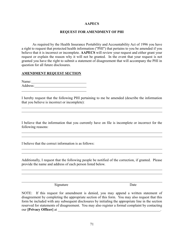#### REQUEST FOR AMENDMENT OF PHI

As required by the Health Insurance Portability and Accountability Act of 1996 you have a right to request that protected health information ("PHI") that pertains to you be amended if you believe that it is incorrect or incomplete. AAPECS will review your request and either grant your request or explain the reason why it will not be granted. In the event that your request is not granted you have the right to submit a statement of disagreement that will accompany the PHI in question for all future disclosures.

#### AMENDMENT REQUEST SECTION

l

l

Name: Name: Address: l

I hereby request that the following PHI pertaining to me be amended (describe the information that you believe is incorrect or incomplete):

I believe that the information that you currently have on file is incomplete or incorrect for the following reasons:

I believe that the correct information is as follows:

Additionally, I request that the following people be notified of the correction, if granted. Please provide the name and address of each person listed below.

Signature Date

NOTE: If this request for amendment is denied, you may append a written statement of disagreement by completing the appropriate section of this form. You may also request that this form be included with any subsequent disclosures by initialing the appropriate line in the section reserved for statements of disagreement. You may also register a formal complaint by contacting our [Privacy Officer] at \_\_\_\_\_\_\_\_\_\_\_\_\_\_\_\_\_\_\_\_\_\_\_\_\_\_\_\_\_\_\_\_\_\_\_\_\_\_\_\_\_\_\_\_\_\_\_\_\_\_\_\_\_\_\_\_\_.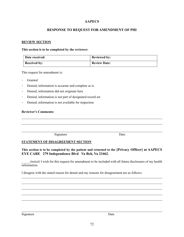## RESPONSE TO REQUEST FOR AMENDMENT OF PHI

#### REVIEW SECTION

#### This section is to be completed by the reviewer:

| Date received:      | <b>Reviewed by:</b> |
|---------------------|---------------------|
| <b>Received by:</b> | <b>Review Date:</b> |

This request for amendment is:

Granted

 $\overline{\phantom{a}}$ 

 $\overline{\phantom{a}}$ 

- Denied; information is accurate and complete as is.
- Denied; information did not originate here
- Denied; information is not part of designated record set
- Denied; information is not available for inspection

#### Reviewer's Comments:

Signature Date

## STATEMENT OF DISAGREEMENT SECTION

## This section is to be completed by the patient and returned to the [Privacy Officer] at AAPECS EYE CARE 279 Independence Blvd Va Bch, Va 23462.

(initial) I wish for this request for amendment to be included with all future disclosures of my health information.

I disagree with the stated reason for denial and my reasons for disagreement are as follows:

Signature Date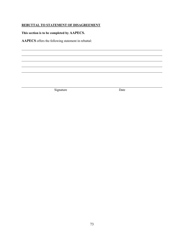# REBUTTAL TO STATEMENT OF DISAGREEMENT

This section is to be completed by AAPECS.

 $\overline{a}$ 

AAPECS offers the following statement in rebuttal:

Signature Date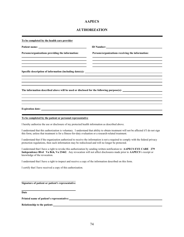# AUTHORIZATION

| To be completed by the health care provider                                                               |                                                                                                                                                                                                                                           |
|-----------------------------------------------------------------------------------------------------------|-------------------------------------------------------------------------------------------------------------------------------------------------------------------------------------------------------------------------------------------|
|                                                                                                           | <b>ID Number:</b> The Second Second Second Second Second Second Second Second Second Second Second Second Second Second Second Second Second Second Second Second Second Second Second Second Second Second Second Second Second Se       |
| Persons/organizations providing the information:                                                          | Persons/organizations receiving the information:                                                                                                                                                                                          |
|                                                                                                           |                                                                                                                                                                                                                                           |
|                                                                                                           | Specific description of information (including date(s)):                                                                                                                                                                                  |
|                                                                                                           |                                                                                                                                                                                                                                           |
|                                                                                                           | The information described above will be used or disclosed for the following purpose(s):                                                                                                                                                   |
|                                                                                                           |                                                                                                                                                                                                                                           |
|                                                                                                           |                                                                                                                                                                                                                                           |
|                                                                                                           |                                                                                                                                                                                                                                           |
| To be completed by the patient or personal representative                                                 |                                                                                                                                                                                                                                           |
| I hereby authorize the use or disclosure of my protected health information as described above.           |                                                                                                                                                                                                                                           |
| this form, unless that treatment is for a fitness-for-duty evaluation or a research-related treatment.    | I understand that this authorization is voluntary. I understand that ability to obtain treatment will not be affected if I do not sign                                                                                                    |
| protection regulations, then such information may be redisclosed and will no longer be protected.         | I understand that if the organization authorized to receive the information is not a required to comply with the federal privacy                                                                                                          |
| knowledge of the revocation.                                                                              | I understand that I have a right to revoke this authorization by sending written notification to: AAPECS EYE CARE 279<br>Independence Blvd Va Bch, Va 23462. Any revocation will not affect disclosures made prior to AAPECS's receipt or |
| I understand that I have a right to inspect and receive a copy of the information described on this form. |                                                                                                                                                                                                                                           |
| I certify that I have received a copy of this authorization.                                              |                                                                                                                                                                                                                                           |
| Signature of patient or patient's representative                                                          |                                                                                                                                                                                                                                           |
| Date                                                                                                      |                                                                                                                                                                                                                                           |
| Printed name of patient's representative:                                                                 |                                                                                                                                                                                                                                           |
|                                                                                                           |                                                                                                                                                                                                                                           |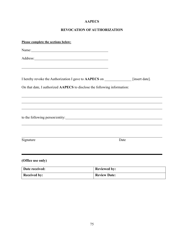# REVOCATION OF AUTHORIZATION

| Please complete the sections below:                                                                                                                                                                                            |                     |
|--------------------------------------------------------------------------------------------------------------------------------------------------------------------------------------------------------------------------------|---------------------|
| Name: Name and the second state of the second state of the second state of the second state of the second state of the second state of the second state of the second state of the second state of the second state of the sec |                     |
|                                                                                                                                                                                                                                |                     |
|                                                                                                                                                                                                                                |                     |
| I hereby revoke the Authorization I gave to AAPECS on __________________________                                                                                                                                               | [insert date].      |
| On that date, I authorized AAPECS to disclose the following information:                                                                                                                                                       |                     |
|                                                                                                                                                                                                                                |                     |
|                                                                                                                                                                                                                                |                     |
|                                                                                                                                                                                                                                |                     |
|                                                                                                                                                                                                                                |                     |
| Signature                                                                                                                                                                                                                      | Date                |
|                                                                                                                                                                                                                                |                     |
| (Office use only)                                                                                                                                                                                                              |                     |
| Date received:                                                                                                                                                                                                                 | <b>Reviewed by:</b> |
| <b>Received by:</b>                                                                                                                                                                                                            | <b>Review Date:</b> |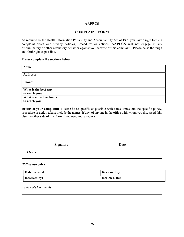## COMPLAINT FORM

As required by the Health Information Portability and Accountability Act of 1996 you have a right to file a complaint about our privacy policies, procedures or actions. AAPECS will not engage in any discriminatory or other retaliatory behavior against you because of this complaint. Please be as thorough and forthright as possible.

#### Please complete the sections below:

| Name:                   |
|-------------------------|
| <b>Address:</b>         |
| <b>Phone:</b>           |
| What is the best way    |
| to reach you?           |
| What are the best hours |
| to reach you?           |

Details of your complaint: (Please be as specific as possible with dates, times and the specific policy, procedure or action taken; include the names, if any, of anyone in the office with whom you discussed this. Use the other side of this form if you need more room.)

Signature Date

Print Name: 1988. The Contract of the Contract of the Contract of the Contract of the Contract of the Contract of the Contract of the Contract of the Contract of the Contract of the Contract of the Contract of the Contract

 $\overline{a}$ 

 $\overline{\phantom{a}}$  $\overline{a}$ 

(Office use only)

| Date received:      | <b>Reviewed by:</b> |
|---------------------|---------------------|
| <b>Received by:</b> | <b>Review Date:</b> |

Reviewer's Comments: New York Comments: New York Comments: New York Comments: New York Comments: New York Comments: New York Comments: New York Comments: New York Comments: New York Comments: New York Comments: New York Co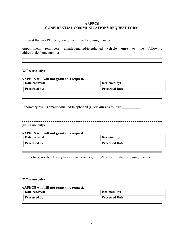## AAPECS CONFIDENTIAL COMMUNICATIONS REQUEST FORM

I request that my PHI be given to me in the following manner:

Appointment reminders emailed/mailed/telephoned (circle one) to the following address/telephone number:

<u> 1980 - Johann Barbara, martxa amerikan bashkar (</u>

(Office use only)

# AAPECS will/will not grant this request.

| Date received:       | <b>Reviewed by:</b>    |
|----------------------|------------------------|
| <b>Processed by:</b> | <b>Processed Date:</b> |

Laboratory results emailed/mailed/telephoned (circle one) as follows:

(Office use only)

 $\overline{a}$ 

l

 $\overline{a}$  $\overline{a}$ 

AAPECS will/will not grant this request.

| Date received:       | <b>Reviewed by:</b>    |
|----------------------|------------------------|
| <b>Processed by:</b> | <b>Processed Date:</b> |

I prefer to be notified by my health care provider, or his/her staff in the following manner:

(Office use only)

#### AAPECS will/will not grant this request.

| Date received:       | <b>Reviewed by:</b>    |
|----------------------|------------------------|
| <b>Processed by:</b> | <b>Processed Date:</b> |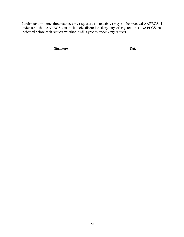I understand in some circumstances my requests as listed above may not be practical AAPECS. I understand that AAPECS can in its sole discretion deny any of my requests. AAPECS has indicated below each request whether it will agree to or deny my request.

Signature Date

 $\overline{a}$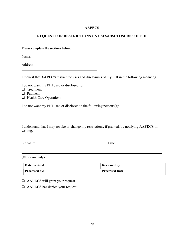## REQUEST FOR RESTRICTIONS ON USES/DISCLOSURES OF PHI

Please complete the sections below:

Name:

Address:

I request that AAPECS restrict the uses and disclosures of my PHI in the following manner(s):

I do not want my PHI used or disclosed for:

 $\Box$  Treatment

l

l

 $\overline{a}$ 

 $\overline{a}$ 

- **D** Payment
- $\Box$  Health Care Operations

I do not want my PHI used or disclosed to the following persons(s):

I understand that I may revoke or change my restrictions, if granted, by notifying AAPECS in writing.

Signature Date

(Office use only)

| Date received:       | <b>Reviewed by:</b>    |
|----------------------|------------------------|
| <b>Processed by:</b> | <b>Processed Date:</b> |

 $\Box$  AAPECS will grant your request.

 $\Box$  AAPECS has denied your request.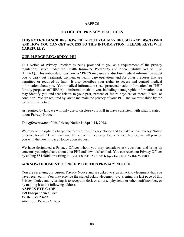## NOTICE OF PRIVACY PRACTICES

## THIS NOTICE DESCRIBES HOW PHI ABOUT YOU MAY BE USED AND DISCLOSED AND HOW YOU CAN GET ACCESS TO THIS INFORMATION. PLEASE REVIEW IT CAREFULLY.

#### OUR PLEDGE REGARDING PHI

This Notice of Privacy Practices is being provided to you as a requirement of the privacy regulations issued under the Health Insurance Portability and Accountability Act of 1996 (HIPAA). This notice describes how AAPECS may use and disclose medical information about you to carry out treatment, payment or health care operations and for other purposes that are permitted or required by law. It also describes your rights to access and control medical information about you. Your medical information (i.e., "protected health information" or "PHI" for any purposes of HIPAA) is information about you, including demographic information, that may identify you and that relates to your past, present or future physical or mental health or condition. We are required by law to maintain the privacy of your PHI, and we must abide by the terms of this notice.

As required by law, we will only use or disclose your PHI in ways consistent with what is stated in our Privacy Notice.

#### The *effective date* of this Privacy Notice is April 14, 2003.

We reserve the right to change the terms of this Privacy Notice and to make a new Privacy Notice effective for all PHI we maintain. In the event of a change to our Privacy Notice, we will provide you with the new Privacy Notice upon request.

We have designated a Privacy Officer whom you may consult to ask questions and bring up concerns you might have about your PHI and how it is handled. You can reach our Privacy Officer by calling 552-0800 or writing to : AAPECS EYE CARE 279 Independence Blvd Va Bch, Va 23462.

## ACKNOWLEDGMENT OF RECEIPT OF THIS PRIVACY NOTICE

You are receiving our current Privacy Notice and are asked to sign an acknowledgment that you have received it. You may provide the signed acknowledgment by: signing the last page of this Privacy Notice and returning it to reception desk or a nurse, physician or other staff member, or by mailing it to the following address:

AAPECS EYE CARE 279 Independence Blvd Va Bch, Va 23462 Attention: Privacy Officer.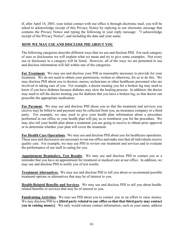If, after April 14, 2003, your initial contact with our office is through electronic mail, you will be asked to acknowledge receipt of this Privacy Notice by replying to our electronic message that contains the Privacy Notice and typing the following in your reply message: "I acknowledge receipt of the Privacy Notice", and including the date and your name.

## HOW WE MAY USE AND DISCLOSE PHI ABOUT YOU

The following categories describe different ways that we use and disclose PHI. For each category of uses or disclosures we will explain what we mean and try to give some examples. Not every use or disclosure in a category will be listed. However, all of the ways we are permitted to use and disclose information will fall within one of the categories.

For Treatment. We may use and disclose your PHI as reasonably necessary to provide for your treatment. We do not need to obtain your permission, written or otherwise, for us to do this. We may disclose PHI about you to doctors, nurses, technicians or other healthcare personnel who are involved in taking care of you. For example, a doctor treating you for a broken leg may need to know if you have diabetes because diabetes may slow the healing process. In addition, the doctor may need to tell the doctor treating you for diabetes that you have a broken leg, so that doctor can prescribe the appropriate medication.

For Payment. We may use and disclose PHI about you so that the treatment and services you receive may be billed to and payment may be collected from you, an insurance company or a third party. For example, we may need to give your health plan information about a procedure performed in our office so your health plan will pay us or reimburse you for the procedure. We may also tell your health plan about a treatment you are going to receive to obtain prior approval or to determine whether your plan will cover the treatment.

For Health Care Operations. We may use and disclose PHI about you for healthcare operations. These uses and disclosures are necessary to run our office and make sure that all individuals receive quality care. For example, we may use PHI to review our treatment and services and to evaluate the performance of our staff in caring for you.

Appointment Reminders, Test Results. We may use and disclose PHI to contact you as a reminder that you have an appointment for treatment or medical care at our office. In addition, we may use and disclose PHI to notify you of test results.

Treatment Alternatives. We may use and disclose PHI to tell you about or recommend possible treatment options or alternatives that may be of interest to you.

Health-Related Benefits and Services. We may use and disclose PHI to tell you about healthrelated benefits or services that may be of interest to you.

**Fundraising Activities.** We may use PHI about you to contact you in an effort to raise money. We may disclose PHI to a [third party related to our office so that that third party may contact you in raising money]. We only would release contact information, such as your name, address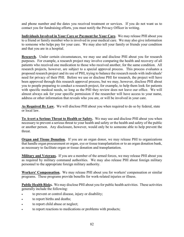and phone number and the dates you received treatment or services. If you do not want us to contact you for fundraising efforts, you must notify the Privacy Officer in writing.

Individuals Involved in Your Care or Payment for Your Care. We may release PHI about you to a friend or family member who is involved in your medical care. We may also give information to someone who helps pay for your care. We may also tell your family or friends your condition and that you are in a hospital.

Research. Under certain circumstances, we may use and disclose PHI about you for research purposes. For example, a research project may involve comparing the health and recovery of all patients who received one medication to those who received another, for the same condition. All research projects, however, are subject to a special approval process. This process evaluates a proposed research project and its use of PHI, trying to balance the research needs with individuals' need for privacy of their PHI. Before we use or disclose PHI for research, the project will have been approved through this research approval process, but we may, however, disclose PHI about you to people preparing to conduct a research project, for example, to help them look for patients with specific medical needs, so long as the PHI they review does not leave our office. We will almost always ask for your specific permission if the researcher will have access to your name, address or other information that reveals who you are, or will be involved in your care.

As Required By Law. We will disclose PHI about you when required to do so by federal, state or local law.

To Avert a Serious Threat to Health or Safety. We may use and disclose PHI about you when necessary to prevent a serious threat to your health and safety or the health and safety of the public or another person. Any disclosure, however, would only be to someone able to help prevent the threat.

**Organ and Tissue Donation.** If you are an organ donor, we may release PHI to organizations that handle organ procurement or organ, eye or tissue transplantation or to an organ donation bank, as necessary to facilitate organ or tissue donation and transplantation.

Military and Veterans. If you are a member of the armed forces, we may release PHI about you as required by military command authorities. We may also release PHI about foreign military personnel to the appropriate foreign military authority.

Workers' Compensation. We may release PHI about you for workers' compensation or similar programs. These programs provide benefits for work-related injuries or illness.

Public Health Risks. We may disclose PHI about you for public health activities. These activities generally include the following:

- to prevent or control disease, injury or disability;
- to report births and deaths;
- to report child abuse or neglect;
- to report reactions to medications or problems with products;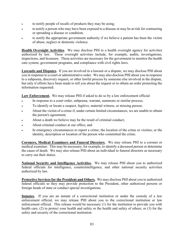- to notify people of recalls of products they may be using;
- to notify a person who may have been exposed to a disease or may be at risk for contracting or spreading a disease or condition;
- to notify the appropriate government authority if we believe a patient has been the victim of abuse, neglect or domestic violence.

Health Oversight Activities. We may disclose PHI to a health oversight agency for activities authorized by law. These oversight activities include, for example, audits, investigations, inspections, and licensure. These activities are necessary for the government to monitor the health care system, government programs, and compliance with civil rights laws.

Lawsuits and Disputes. If you are involved in a lawsuit or a dispute, we may disclose PHI about you in response to a court or administrative order. We may also disclose PHI about you in response to a subpoena, discovery request, or other lawful process by someone else involved in the dispute, but only if efforts have been made to tell you about the request or to obtain an order protecting the information requested.

Law Enforcement. We may release PHI if asked to do so by a law enforcement official:

- In response to a court order, subpoena, warrant, summons or similar process;
- To identify or locate a suspect, fugitive, material witness, or missing person;
- About the victim of a crime if, under certain limited circumstances, we are unable to obtain the person's agreement;
- About a death we believe may be the result of criminal conduct;
- About criminal conduct at our office; and
- In emergency circumstances to report a crime; the location of the crime or victims; or the identity, description or location of the person who committed the crime.

Coroners, Medical Examiners and Funeral Directors. We may release PHI to a coroner or medical examiner. This may be necessary, for example, to identify a deceased person or determine the cause of death. We may also release PHI about an individual to funeral directors as necessary to carry out their duties.

National Security and Intelligence Activities. We may release PHI about you to authorized federal officials for intelligence, counterintelligence, and other national security activities authorized by law.

Protective Services for the President and Others. We may disclose PHI about you to authorized federal officials so they may provide protection to the President, other authorized persons or foreign heads of state or conduct special investigations.

Inmates. If you are an inmate of a correctional institution or under the custody of a law enforcement official, we may release PHI about you to the correctional institution or law enforcement official. This release would be necessary (1) for the institution to provide you with health care; (2) to protect your health and safety or the health and safety of others; or (3) for the safety and security of the correctional institution.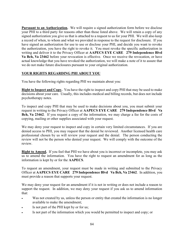Pursuant to an Authorization. We will require a signed authorization form before we disclose your PHI to a third party for reasons other than those listed above. We will retain a copy of any signed authorization you give us that is attached to a request to us for your PHI. We will also keep a record of when, to whom and what we provided in response to the request for disclosure. If you have signed an authorization for use to use or disclose your PHI, and decide you want to revoke the authorization, you have the right to revoke it. You must revoke the specific authorization in writing and deliver it to the Privacy Officer at AAPECS EYE CARE 279 Independence Blvd Va Bch, Va 23462 before your revocation is effective. Once we receive the revocation, or have actual knowledge that you have revoked the authorization, we will make a note of it to assure that we do not make future disclosures pursuant to your original authorization.

# YOUR RIGHTS REGARDING PHI ABOUT YOU

You have the following rights regarding PHI we maintain about you:

Right to Inspect and Copy. You have the right to inspect and copy PHI that may be used to make decisions about your care. Usually, this includes medical and billing records, but does not include psychotherapy notes.

To inspect and copy PHI that may be used to make decisions about you, you must submit your request in writing to the Privacy Officer at AAPECS EYE CARE 279 Independence Blvd Va Bch, Va 23462. If you request a copy of the information, we may charge a fee for the costs of copying, mailing or other supplies associated with your request.

We may deny your request to inspect and copy in certain very limited circumstances. If you are denied access to PHI, you may request that the denial be reviewed. Another licensed health care professional chosen by us will review your request and the denial. The person conducting the review will not be the person who denied your request. We will comply with the outcome of the review.

Right to Amend. If you feel that PHI we have about you is incorrect or incomplete, you may ask us to amend the information. You have the right to request an amendment for as long as the information is kept by or for the AAPECS.

To request an amendment, your request must be made in writing and submitted to the Privacy Officer at AAPECS EYE CARE 279 Independence Blvd Va Bch, Va 23462. In addition, you must provide a reason that supports your request.

We may deny your request for an amendment if it is not in writing or does not include a reason to support the request. In addition, we may deny your request if you ask us to amend information that:

- Was not created by us, unless the person or entity that created the information is no longer available to make the amendment;
- Is not part of the PHI kept by or for us;
- Is not part of the information which you would be permitted to inspect and copy; or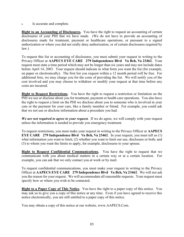Is accurate and complete.

Right to an Accounting of Disclosures. You have the right to request an accounting of certain disclosures of your PHI that we have made. (We do not have to provide an accounting of disclosures made for treatment, payment or healthcare operations, or pursuant to a signed authorization or where you did not orally deny authorization, or of certain disclosures required by law.)

To request this list or accounting of disclosures, you must submit your request in writing to the Privacy Officer at AAPECS EYE CARE 279 Independence Blvd Va Bch, Va 23462. Your request must state a time period which may not be longer than six years and may not include dates before April 14, 2003. Your request should indicate in what form you want the list (for example, on paper or electronically). The first list you request within a 12 month period will be free. For additional lists, we may charge you for the costs of providing the list. We will notify you of the cost involved and you may choose to withdraw or modify your request at that time before any costs are incurred.

Right to Request Restrictions. You have the right to request a restriction or limitation on the PHI we use or disclose about you for treatment, payment or health care operations. You also have the right to request a limit on the PHI we disclose about you to someone who is involved in your care or the payment for your care, like a family member or friend. For example, you could ask that we not use or disclose information about a procedure you had.

We are not required to agree to your request. If we do agree, we will comply with your request unless the information is needed to provide you emergency treatment.

To request restrictions, you must make your request in writing to the Privacy Officer at AAPECS EYE CARE 279 Independence Blvd Va Bch, Va 23462. In your request, you must tell us (1) what information you want to limit; (2) whether you want to limit our use, disclosure or both; and (3) to whom you want the limits to apply, for example, disclosures to your spouse.

Right to Request Confidential Communications. You have the right to request that we communicate with you about medical matters in a certain way or at a certain location. For example, you can ask that we only contact you at work or by mail.

To request confidential communications, you must make your request in writing to the Privacy Officer at AAPECS EYE CARE 279 Independence Blvd Va Bch, Va 23462. We will not ask you the reason for your request. We will accommodate all reasonable requests. Your request must specify how or where you wish to be contacted.

**Right to a Paper Copy of This Notice.** You have the right to a paper copy of this notice. You may ask us to give you a copy of this notice at any time. Even if you have agreed to receive this notice electronically, you are still entitled to a paper copy of this notice.

You may obtain a copy of this notice at our website, www.AAPECS.Com.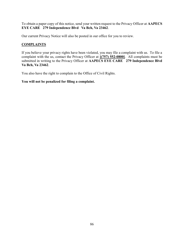To obtain a paper copy of this notice, send your written request to the Privacy Officer at AAPECS EYE CARE 279 Independence Blvd Va Bch, Va 23462.

Our current Privacy Notice will also be posted in our office for you to review.

## **COMPLAINTS**

If you believe your privacy rights have been violated, you may file a complaint with us. To file a complaint with the us, contact the Privacy Officer at  $[(757) 552-0800]$ . All complaints must be submitted in writing to the Privacy Officer at AAPECS EYE CARE 279 Independence Blvd Va Bch, Va 23462.

You also have the right to complain to the Office of Civil Rights.

## You will not be penalized for filing a complaint.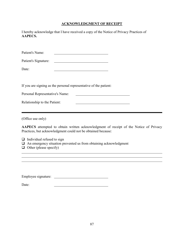# ACKNOWLEDGMENT OF RECEIPT

| AAPECS.                                                                    | I hereby acknowledge that I have received a copy of the Notice of Privacy Practices of                                                                |  |
|----------------------------------------------------------------------------|-------------------------------------------------------------------------------------------------------------------------------------------------------|--|
| Patient's Name:                                                            | <u> 1989 - Johann Barn, mars ann an t-Amhain Aonaich an t-Aonaich an t-Aonaich ann an t-Aonaich ann an t-Aonaich</u>                                  |  |
| Patient's Signature:                                                       |                                                                                                                                                       |  |
| Date:                                                                      |                                                                                                                                                       |  |
|                                                                            | If you are signing as the personal representative of the patient:                                                                                     |  |
| Personal Representative's Name:                                            |                                                                                                                                                       |  |
| Relationship to the Patient:                                               |                                                                                                                                                       |  |
| (Office use only)                                                          |                                                                                                                                                       |  |
|                                                                            | AAPECS attempted to obtain written acknowledgment of receipt of the Notice of Privacy<br>Practices, but acknowledgment could not be obtained because: |  |
| Individual refused to sign<br>❏<br>$\Box$<br>$\Box$ Other (please specify) | An emergency situation prevented us from obtaining acknowledgment                                                                                     |  |
|                                                                            |                                                                                                                                                       |  |

Employee signature:

Date: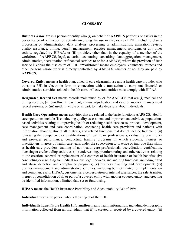## **GLOSSARY**

Business Associate is a person or entity who (i) on behalf of AAPECS performs or assists in the performance of a function or activity involving the use or disclosure of PHI, including claims processing or administration, data analysis, processing or administration, utilization review, quality assurance, billing, benefit management, practice management, repricing, or any other activity regulated by HIPAA; or (ii) provides, other than in the capacity of a member of the workforce of AAPECS, legal, actuarial, accounting, consulting, data aggregation, management, administrative, accreditation or financial services to or for AAPECS] where the provision of such service involves the disclosure of PHI. "Workforce" means employees, volunteers, trainees and other persons whose work is directly controlled by AAPECS whether or not they are paid by AAPECS.

Covered Entity means a health plan, a health care clearinghouse and a health care provider who transmits PHI in electronic form in connection with a transaction to carry out financial or administrative activities related to health care. All covered entities must comply with HIPAA.

Designated Record Set means records maintained by or for AAPECS that are (i) medical and billing records, (ii) enrollment, payment, claims adjudication and case or medical management record systems, or (iii) used, in whole or in part, to make decisions about individuals.

Health Care Operations means activities that are related to the basic functions AAPECS. Health care operations include (i) conducting quality assessment and improvement activities, populationbased activities relating to improving health or reducing health care costs, protocol development, case management and care coordination, contacting health care providers and patients with information about treatment alternatives, and related functions that do not include treatment; (ii) reviewing the competence or qualifications of health care professionals, evaluating practitioner and provider performance, conducting training programs in which students, trainees or practitioners in areas of health care learn under the supervision to practice or improve their skills as health care providers, training of non-health care professionals, accreditation, certification, licensing or credentialing activities; (iii) underwriting, premium rating, and other activities relating to the creation, renewal or replacement of a contract of health insurance or health benefits; (iv) conducting or arranging for medical review, legal services, and auditing functions, including fraud and abuse detection and compliance programs; (v) business planning and development; (vi) business management and administrative activities, including but not limited to, implementation and compliance with HIPAA, customer service, resolution of internal grievances, the sale, transfer, merger of consolidation of all or part of a covered entity with another covered entity, and creating de-identified information, a limited data set or fundraising.

HIPAA means the Health Insurance Portability and Accountability Act of 1996.

Individual means the person who is the subject of the PHI.

Individually Identifiable Health Information means health information, including demographic information collected from an individual, that (i) is created or received by a covered entity, (ii)